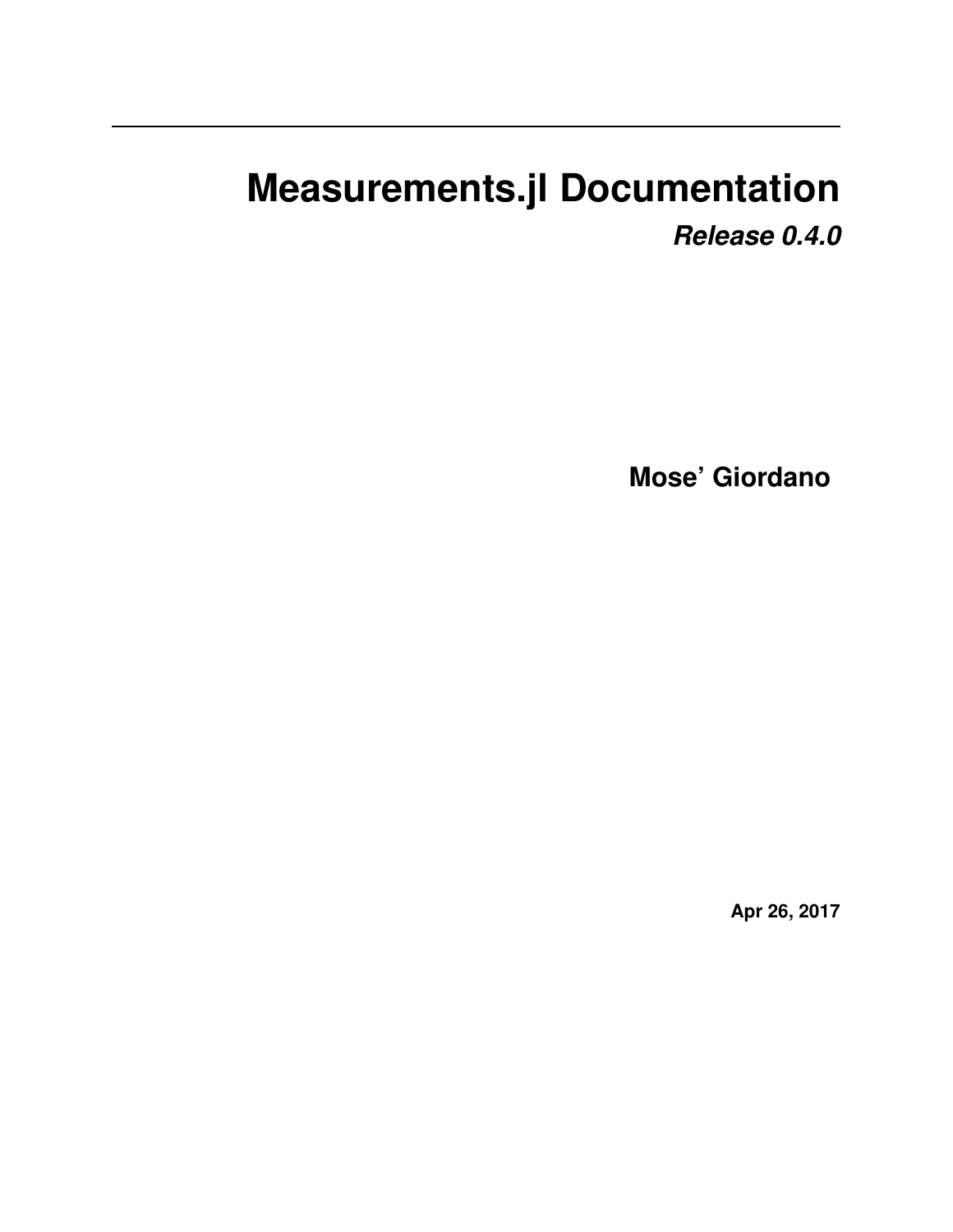# **Measurements.jl Documentation**

*Release 0.4.0*

**Mose' Giordano**

**Apr 26, 2017**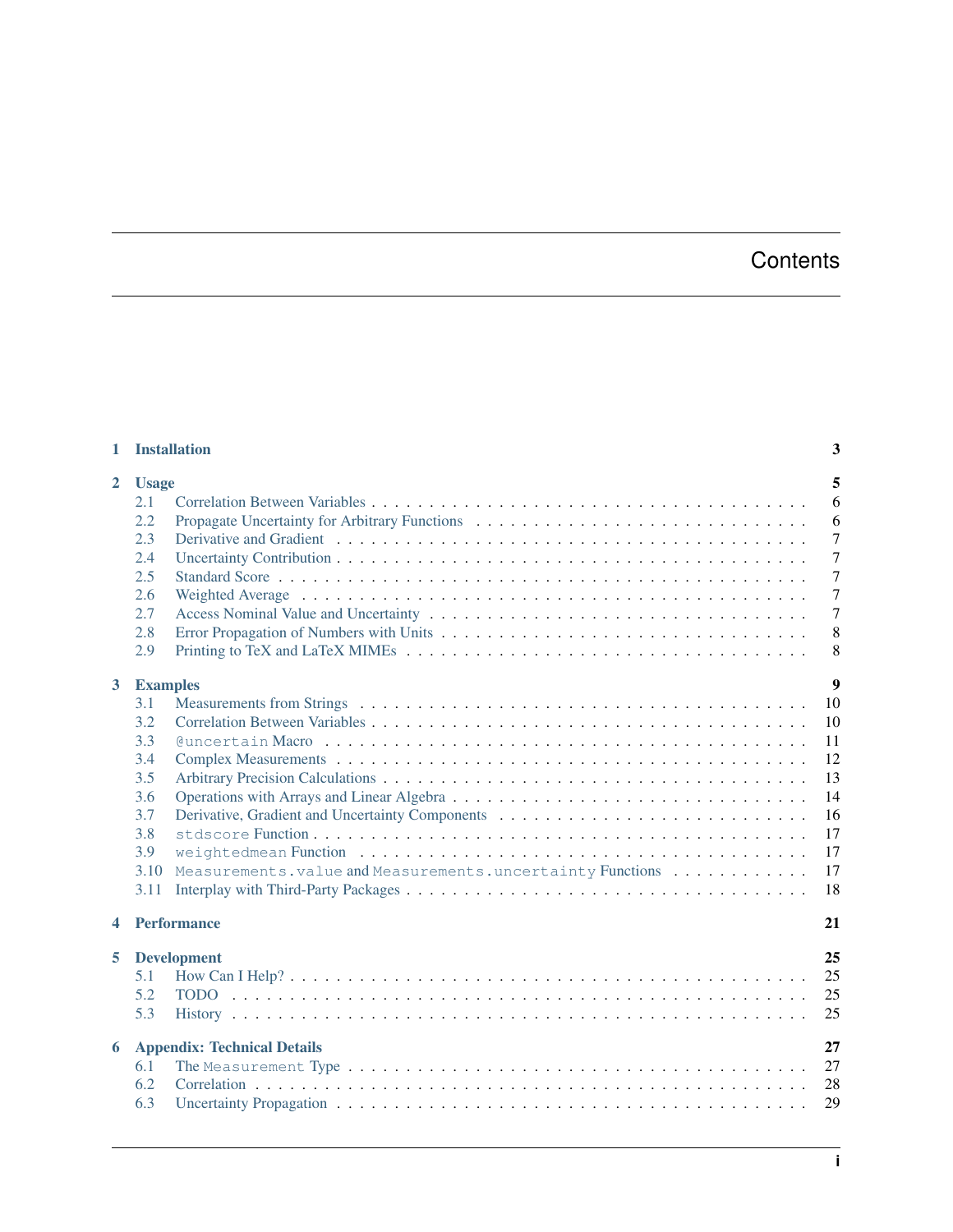## **Contents**

| $\mathbf{1}$   | <b>Installation</b>                                                                                                                                         | 3                                                                                                               |
|----------------|-------------------------------------------------------------------------------------------------------------------------------------------------------------|-----------------------------------------------------------------------------------------------------------------|
| $\overline{2}$ | <b>Usage</b><br>2.1<br>2.2<br>2.3<br>2.4<br>2.5<br>2.6<br>2.7<br>2.8<br>2.9                                                                                 | 5<br>6<br>6<br>$\overline{7}$<br>$\overline{7}$<br>$\overline{7}$<br>$\overline{7}$<br>$\overline{7}$<br>8<br>8 |
| $\mathbf{3}$   | <b>Examples</b><br>3.1<br>3.2<br>3.3<br>3.4<br>3.5<br>3.6<br>3.7<br>3.8<br>3.9<br>Measurements.value and Measurements.uncertainty Functions<br>3.10<br>3.11 | 9<br>10<br>10<br>11<br>12<br>13<br>14<br>16<br>17<br>17<br>17<br>18                                             |
| 4              | <b>Performance</b>                                                                                                                                          | 21                                                                                                              |
| 5.             | <b>Development</b><br>5.1<br>5.2<br>5.3                                                                                                                     | 25<br>25<br>25<br>25                                                                                            |
| 6              | <b>Appendix: Technical Details</b><br>6.1<br>6.2<br>6.3                                                                                                     | 27<br>27<br>28<br>29                                                                                            |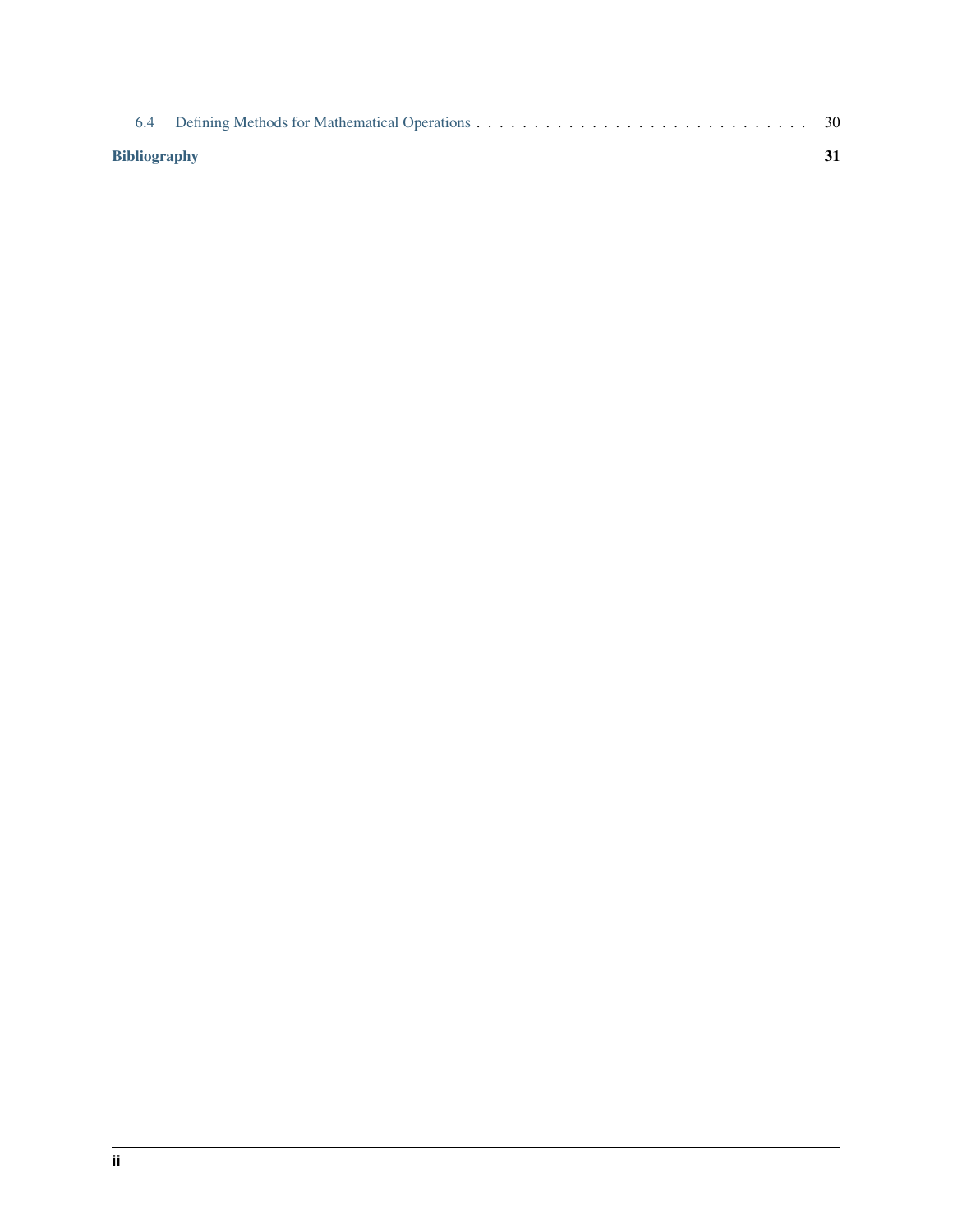| <b>Bibliography</b> |  |  |
|---------------------|--|--|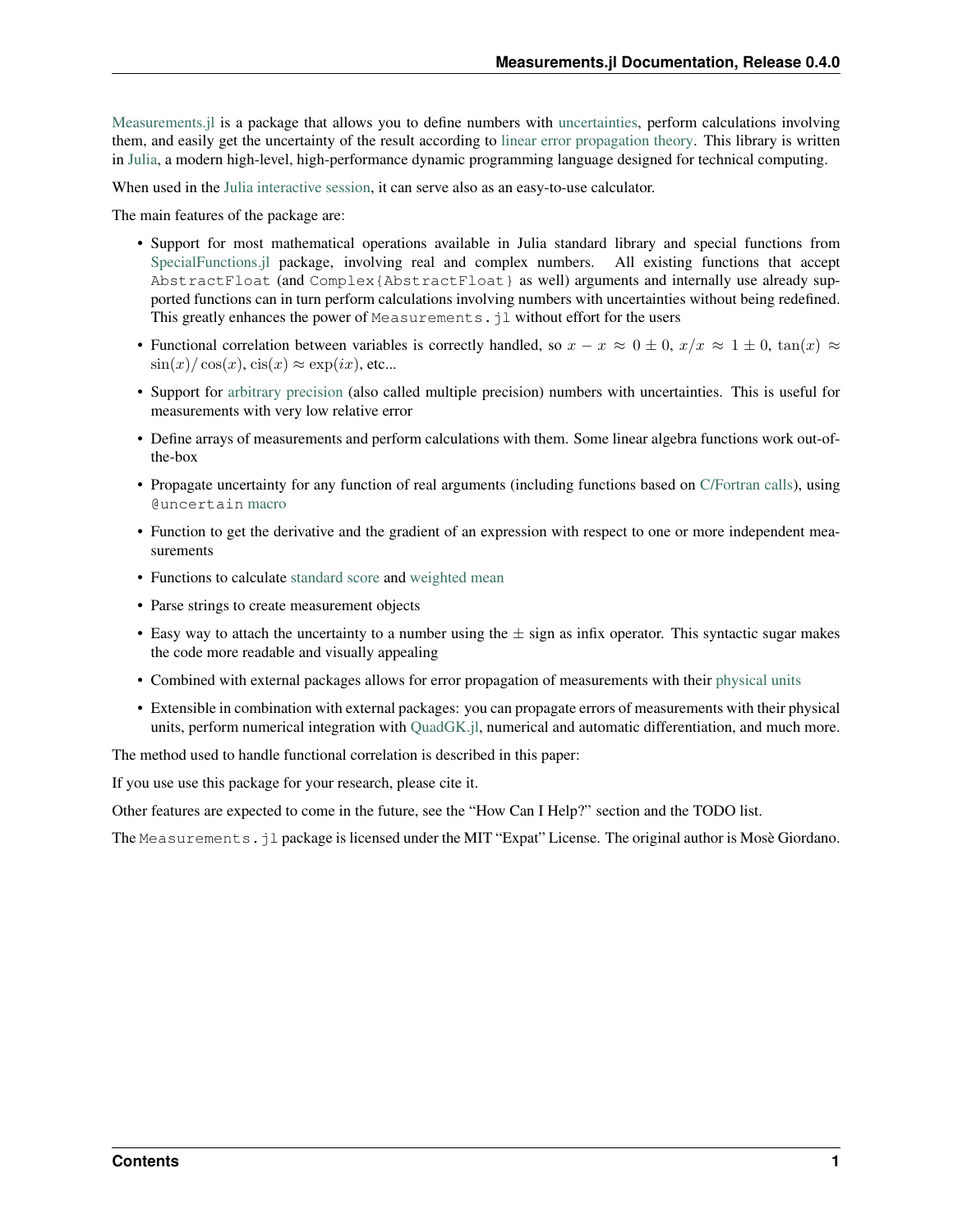[Measurements.jl](https://github.com/giordano/Measurements.jl) is a package that allows you to define numbers with [uncertainties,](https://en.wikipedia.org/wiki/Measurement_uncertainty) perform calculations involving them, and easily get the uncertainty of the result according to [linear error propagation theory.](https://en.wikipedia.org/wiki/Propagation_of_uncertainty) This library is written in [Julia,](http://julialang.org/) a modern high-level, high-performance dynamic programming language designed for technical computing.

When used in the [Julia interactive session,](http://docs.julialang.org/en/stable/manual/getting-started/) it can serve also as an easy-to-use calculator.

The main features of the package are:

- Support for most mathematical operations available in Julia standard library and special functions from [SpecialFunctions.jl](https://github.com/JuliaMath/SpecialFunctions.jl) package, involving real and complex numbers. All existing functions that accept AbstractFloat (and Complex{AbstractFloat} as well) arguments and internally use already supported functions can in turn perform calculations involving numbers with uncertainties without being redefined. This greatly enhances the power of Measurements.  $i$ l without effort for the users
- Functional correlation between variables is correctly handled, so  $x x \approx 0 \pm 0$ ,  $x/x \approx 1 \pm 0$ ,  $\tan(x) \approx$  $\sin(x)/\cos(x)$ ,  $\operatorname{cis}(x) \approx \exp(ix)$ , etc...
- Support for [arbitrary precision](http://docs.julialang.org/en/stable/manual/integers-and-floating-point-numbers/#arbitrary-precision-arithmetic) (also called multiple precision) numbers with uncertainties. This is useful for measurements with very low relative error
- Define arrays of measurements and perform calculations with them. Some linear algebra functions work out-ofthe-box
- Propagate uncertainty for any function of real arguments (including functions based on [C/Fortran calls\)](http://docs.julialang.org/en/stable/manual/calling-c-and-fortran-code/), using @uncertain [macro](http://docs.julialang.org/en/stable/manual/metaprogramming/)
- Function to get the derivative and the gradient of an expression with respect to one or more independent measurements
- Functions to calculate [standard score](https://en.wikipedia.org/wiki/Standard_score) and [weighted mean](https://en.wikipedia.org/wiki/Weighted_arithmetic_mean)
- Parse strings to create measurement objects
- Easy way to attach the uncertainty to a number using the  $\pm$  sign as infix operator. This syntactic sugar makes the code more readable and visually appealing
- Combined with external packages allows for error propagation of measurements with their [physical units](https://en.wikipedia.org/wiki/Units_of_measurement)
- Extensible in combination with external packages: you can propagate errors of measurements with their physical units, perform numerical integration with [QuadGK.jl,](https://github.com/JuliaMath/QuadGK.jl) numerical and automatic differentiation, and much more.

The method used to handle functional correlation is described in this paper:

If you use use this package for your research, please cite it.

Other features are expected to come in the future, see the "How Can I Help?" section and the TODO list.

The Measurements.jl package is licensed under the MIT "Expat" License. The original author is Mosè Giordano.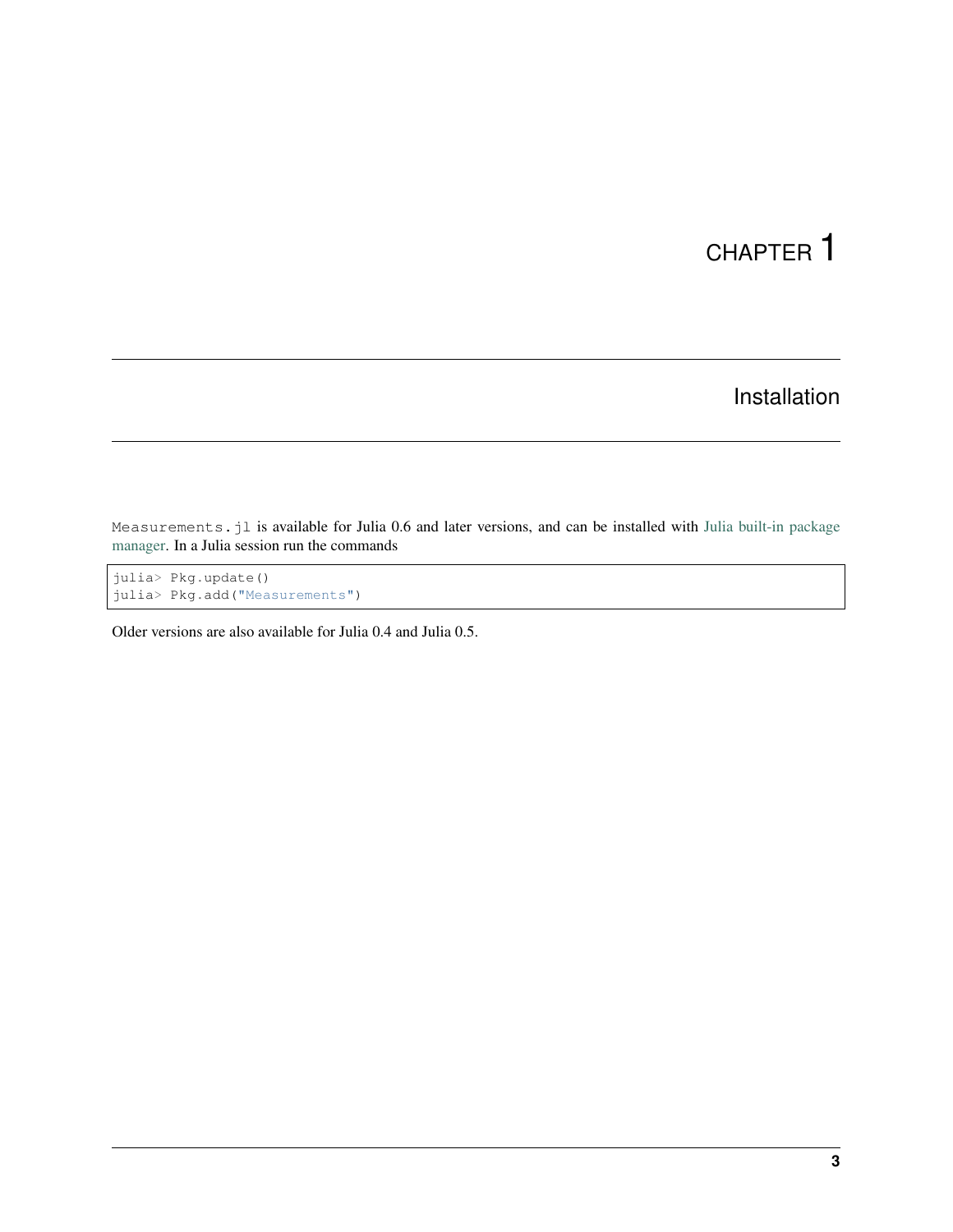## Installation

<span id="page-6-0"></span>Measurements.jl is available for Julia 0.6 and later versions, and can be installed with [Julia built-in package](http://docs.julialang.org/en/stable/manual/packages/) [manager.](http://docs.julialang.org/en/stable/manual/packages/) In a Julia session run the commands

```
julia> Pkg.update()
julia> Pkg.add("Measurements")
```
Older versions are also available for Julia 0.4 and Julia 0.5.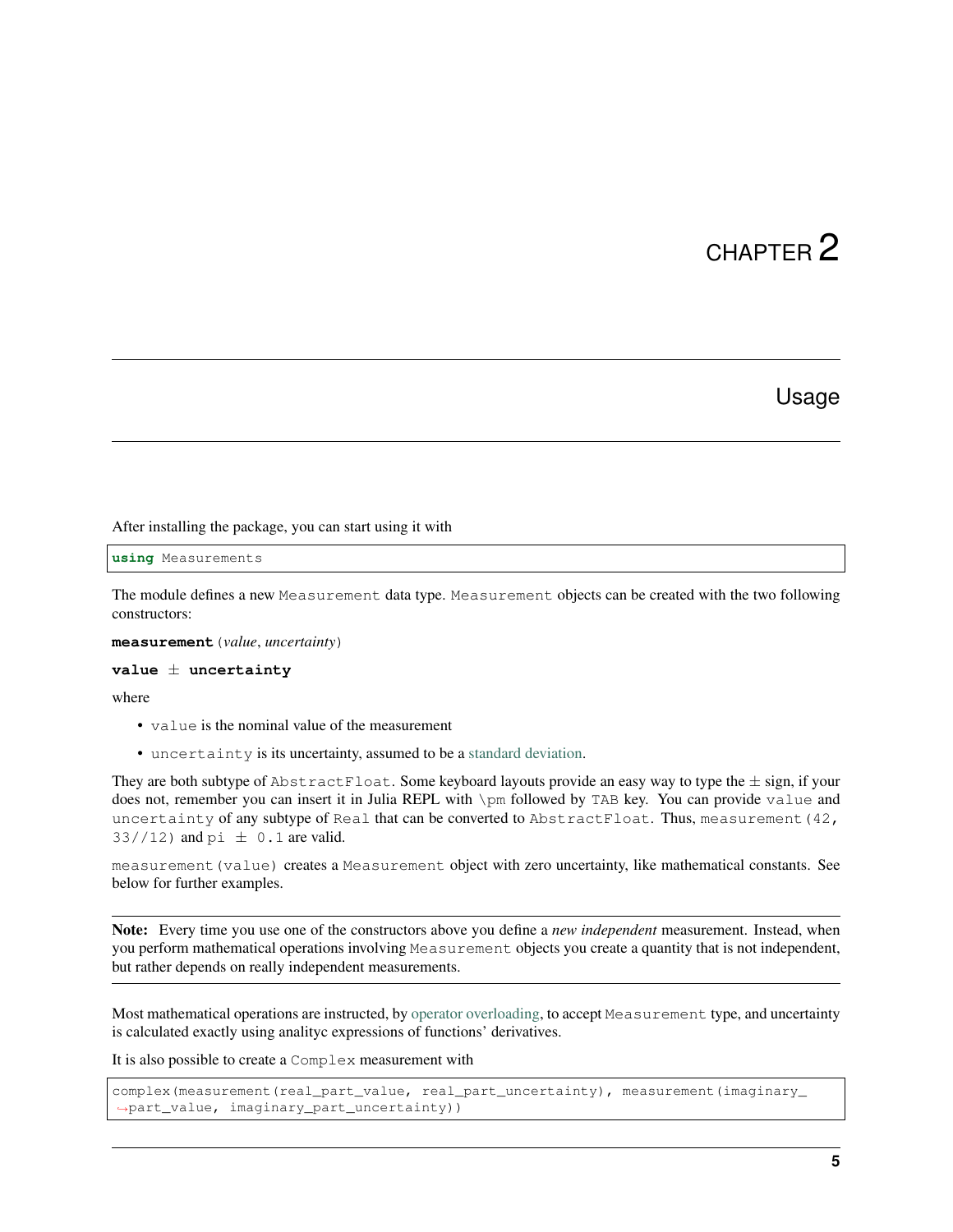## Usage

<span id="page-8-1"></span><span id="page-8-0"></span>After installing the package, you can start using it with

**using** Measurements

The module defines a new Measurement data type. Measurement objects can be created with the two following constructors:

**measurement**(*value*, *uncertainty*)

```
value ± uncertainty
```
where

- value is the nominal value of the measurement
- uncertainty is its uncertainty, assumed to be a [standard deviation.](https://en.wikipedia.org/wiki/Standard_deviation)

They are both subtype of  $AbstractFload$ . Some keyboard layouts provide an easy way to type the  $\pm$  sign, if your does not, remember you can insert it in Julia REPL with \pm followed by TAB key. You can provide value and uncertainty of any subtype of Real that can be converted to AbstractFloat. Thus, measurement (42, 33//12) and  $pi \pm 0.1$  are valid.

measurement (value) creates a Measurement object with zero uncertainty, like mathematical constants. See below for further examples.

Note: Every time you use one of the constructors above you define a *new independent* measurement. Instead, when you perform mathematical operations involving Measurement objects you create a quantity that is not independent, but rather depends on really independent measurements.

Most mathematical operations are instructed, by [operator overloading,](https://en.wikipedia.org/wiki/Operator_overloading) to accept Measurement type, and uncertainty is calculated exactly using analityc expressions of functions' derivatives.

It is also possible to create a Complex measurement with

```
complex(measurement(real_part_value, real_part_uncertainty), measurement(imaginary_
˓→part_value, imaginary_part_uncertainty))
```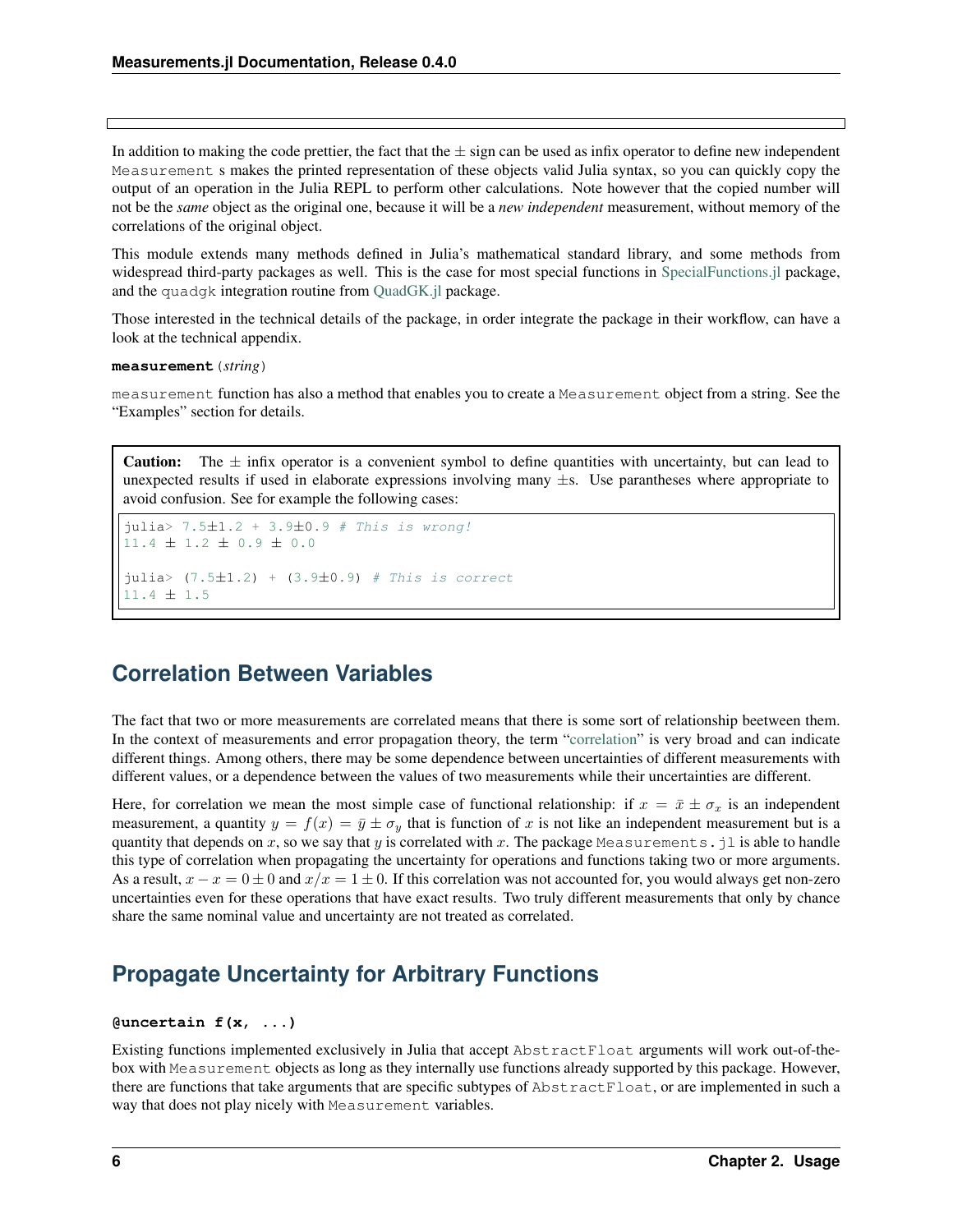<span id="page-9-2"></span>In addition to making the code prettier, the fact that the  $\pm$  sign can be used as infix operator to define new independent Measurement s makes the printed representation of these objects valid Julia syntax, so you can quickly copy the output of an operation in the Julia REPL to perform other calculations. Note however that the copied number will not be the *same* object as the original one, because it will be a *new independent* measurement, without memory of the correlations of the original object.

This module extends many methods defined in Julia's mathematical standard library, and some methods from widespread third-party packages as well. This is the case for most special functions in [SpecialFunctions.jl](https://github.com/JuliaMath/SpecialFunctions.jl) package, and the quadgk integration routine from [QuadGK.jl](https://github.com/JuliaMath/QuadGK.jl) package.

Those interested in the technical details of the package, in order integrate the package in their workflow, can have a look at the technical appendix.

#### **measurement**(*string*)

measurement function has also a method that enables you to create a Measurement object from a string. See the "Examples" section for details.

**Caution:** The  $\pm$  infix operator is a convenient symbol to define quantities with uncertainty, but can lead to unexpected results if used in elaborate expressions involving many  $\pm s$ . Use parantheses where appropriate to avoid confusion. See for example the following cases:

```
julia> 7.5±1.2 + 3.9±0.9 # This is wrong!
11.4 ± 1.2 ± 0.9 ± 0.0
julia> (7.5±1.2) + (3.9±0.9) # This is correct
11.4 ± 1.5
```
## <span id="page-9-0"></span>**Correlation Between Variables**

The fact that two or more measurements are correlated means that there is some sort of relationship beetween them. In the context of measurements and error propagation theory, the term ["correlation"](https://en.wikipedia.org/wiki/Correlation_and_dependence) is very broad and can indicate different things. Among others, there may be some dependence between uncertainties of different measurements with different values, or a dependence between the values of two measurements while their uncertainties are different.

Here, for correlation we mean the most simple case of functional relationship: if  $x = \bar{x} \pm \sigma_x$  is an independent measurement, a quantity  $y = f(x) = \bar{y} \pm \sigma_y$  that is function of x is not like an independent measurement but is a quantity that depends on x, so we say that y is correlated with x. The package Measurements. jl is able to handle this type of correlation when propagating the uncertainty for operations and functions taking two or more arguments. As a result,  $x - x = 0 \pm 0$  and  $x/x = 1 \pm 0$ . If this correlation was not accounted for, you would always get non-zero uncertainties even for these operations that have exact results. Two truly different measurements that only by chance share the same nominal value and uncertainty are not treated as correlated.

## <span id="page-9-1"></span>**Propagate Uncertainty for Arbitrary Functions**

#### **@uncertain f(x, ...)**

Existing functions implemented exclusively in Julia that accept AbstractFloat arguments will work out-of-thebox with Measurement objects as long as they internally use functions already supported by this package. However, there are functions that take arguments that are specific subtypes of AbstractFloat, or are implemented in such a way that does not play nicely with Measurement variables.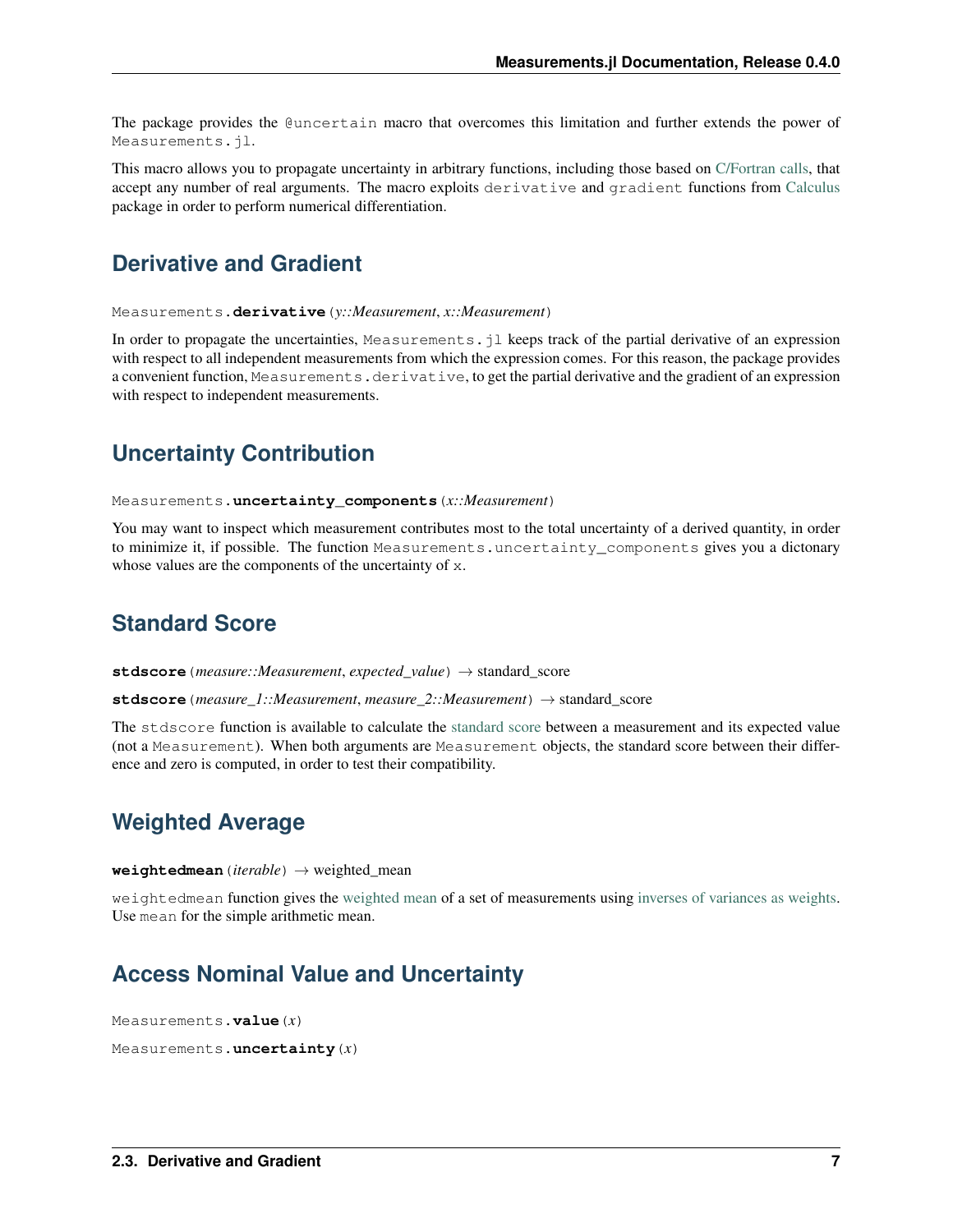<span id="page-10-11"></span>The package provides the @uncertain macro that overcomes this limitation and further extends the power of Measurements.jl.

This macro allows you to propagate uncertainty in arbitrary functions, including those based on [C/Fortran calls,](http://docs.julialang.org/en/stable/manual/calling-c-and-fortran-code/) that accept any number of real arguments. The macro exploits derivative and gradient functions from [Calculus](https://github.com/johnmyleswhite/Calculus.jl) package in order to perform numerical differentiation.

### <span id="page-10-0"></span>**Derivative and Gradient**

<span id="page-10-6"></span>Measurements.**derivative**(*y::Measurement*, *x::Measurement*)

In order to propagate the uncertainties, Measurements. jl keeps track of the partial derivative of an expression with respect to all independent measurements from which the expression comes. For this reason, the package provides a convenient function, Measurements.derivative, to get the partial derivative and the gradient of an expression with respect to independent measurements.

## <span id="page-10-1"></span>**Uncertainty Contribution**

<span id="page-10-7"></span>Measurements.**uncertainty\_components**(*x::Measurement*)

You may want to inspect which measurement contributes most to the total uncertainty of a derived quantity, in order to minimize it, if possible. The function Measurements.uncertainty\_components gives you a dictonary whose values are the components of the uncertainty of x.

## <span id="page-10-2"></span>**Standard Score**

<span id="page-10-5"></span>**stdscore**(*measure::Measurement*, *expected\_value*) → standard\_score

**stdscore**(*measure\_1::Measurement*, *measure\_2::Measurement*) → standard\_score

The stdscore function is available to calculate the [standard score](https://en.wikipedia.org/wiki/Standard_score) between a measurement and its expected value (not a Measurement). When both arguments are Measurement objects, the standard score between their difference and zero is computed, in order to test their compatibility.

## <span id="page-10-3"></span>**Weighted Average**

<span id="page-10-8"></span> $weightedmean(*iterable*) \rightarrow weighted mean$ 

weightedmean function gives the [weighted mean](https://en.wikipedia.org/wiki/Weighted_arithmetic_mean) of a set of measurements using [inverses of variances as weights.](https://en.wikipedia.org/wiki/Inverse-variance_weighting) Use mean for the simple arithmetic mean.

## <span id="page-10-4"></span>**Access Nominal Value and Uncertainty**

```
Measurements.value(x)
```

```
Measurements.uncertainty(x)
```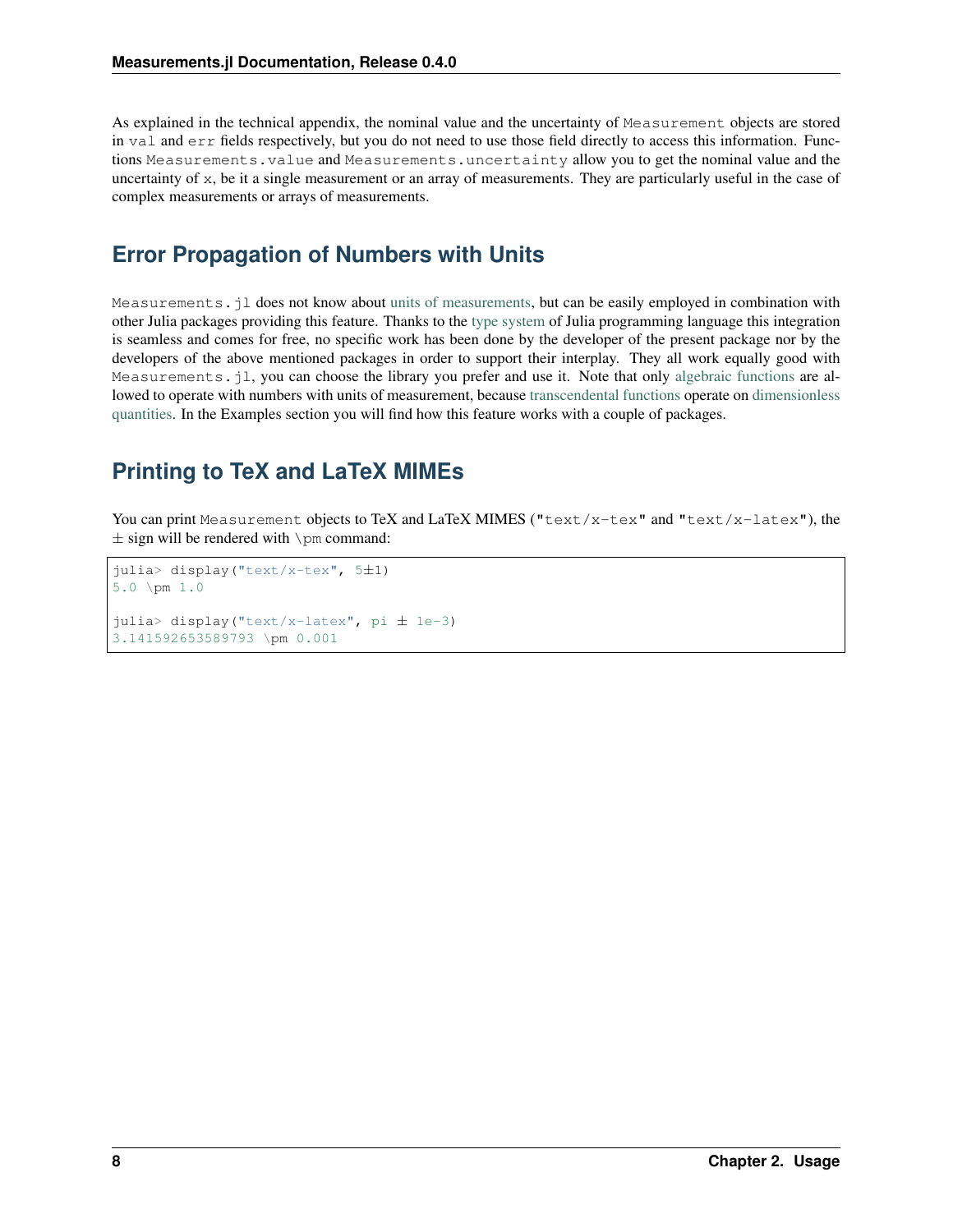As explained in the technical appendix, the nominal value and the uncertainty of Measurement objects are stored in val and err fields respectively, but you do not need to use those field directly to access this information. Functions Measurements.value and Measurements.uncertainty allow you to get the nominal value and the uncertainty of x, be it a single measurement or an array of measurements. They are particularly useful in the case of complex measurements or arrays of measurements.

## <span id="page-11-0"></span>**Error Propagation of Numbers with Units**

Measurements.jl does not know about [units of measurements,](https://en.wikipedia.org/wiki/Units_of_measurement) but can be easily employed in combination with other Julia packages providing this feature. Thanks to the [type system](http://docs.julialang.org/en/stable/manual/types/) of Julia programming language this integration is seamless and comes for free, no specific work has been done by the developer of the present package nor by the developers of the above mentioned packages in order to support their interplay. They all work equally good with Measurements. jl, you can choose the library you prefer and use it. Note that only [algebraic functions](https://en.wikipedia.org/wiki/Algebraic_operation) are allowed to operate with numbers with units of measurement, because [transcendental functions](https://en.wikipedia.org/wiki/Transcendental_function) operate on [dimensionless](https://en.wikipedia.org/wiki/Dimensionless_quantity) [quantities.](https://en.wikipedia.org/wiki/Dimensionless_quantity) In the Examples section you will find how this feature works with a couple of packages.

## <span id="page-11-1"></span>**Printing to TeX and LaTeX MIMEs**

You can print Measurement objects to TeX and LaTeX MIMES ("text/x-tex" and "text/x-latex"), the  $\pm$  sign will be rendered with  $\pm$  command:

```
julia> display("text/x-tex", 5±1)
5.0 \pm 1.0
julia> display("text/x-latex", pi ± 1e-3)
3.141592653589793 \pm 0.001
```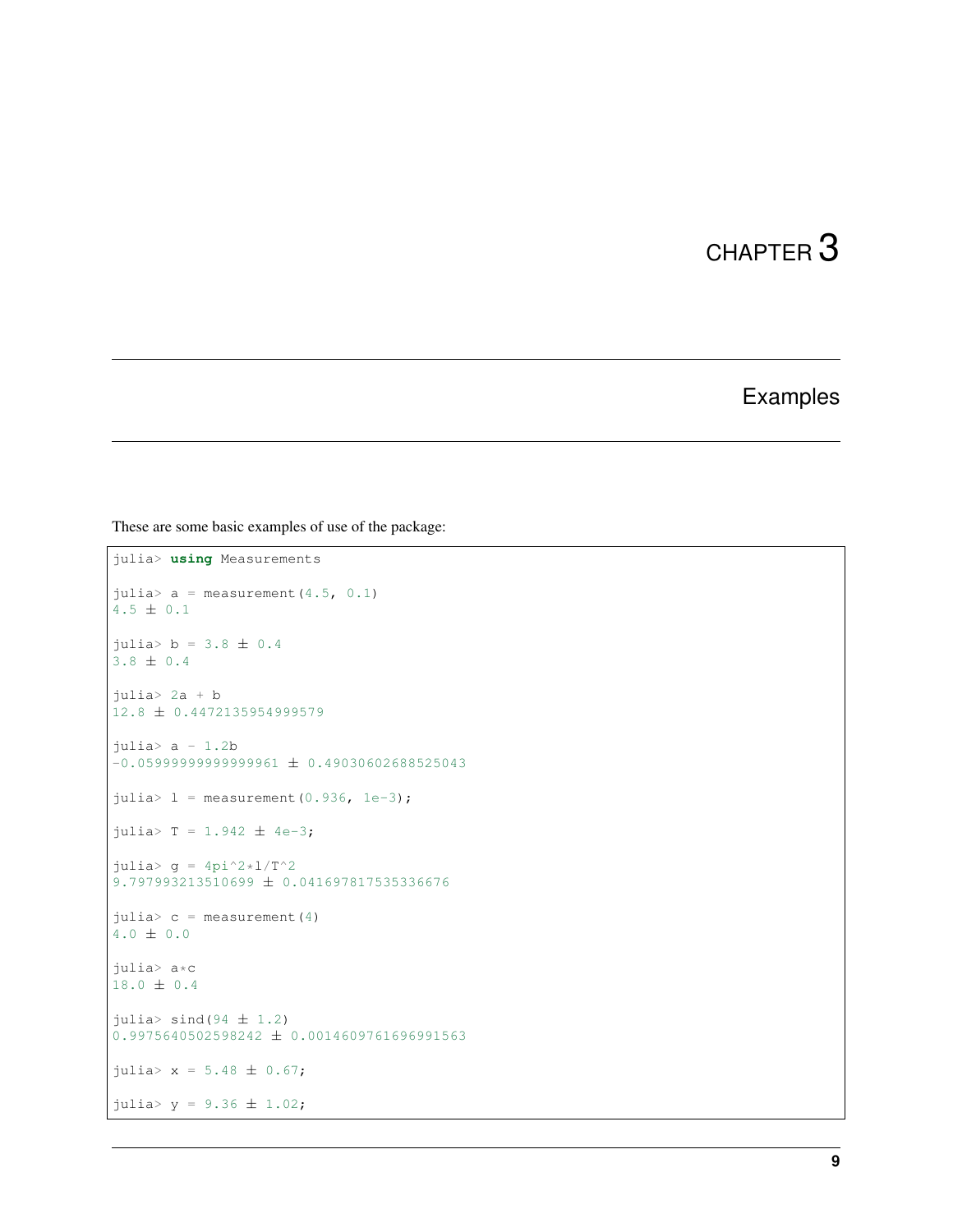## Examples

<span id="page-12-0"></span>These are some basic examples of use of the package:

```
julia> using Measurements
julia> a = measurement(4.5, 0.1)4.5 ± 0.1
julia> b = 3.8 \pm 0.43.8 ± 0.4
julia> 2a + b
12.8 ± 0.4472135954999579
julia> a - 1.2b
-0.05999999999999961 \pm 0.49030602688525043julia> 1 = measurement(0.936, 1e-3);julus = 1.942 \pm 4e-3;julia> g = 4pi^2*1/T^29.797993213510699 ± 0.041697817535336676
julia> c = measurement (4)
4.0 ± 0.0
julia> a*c
18.0 ± 0.4
julia> \sinh(94 \pm 1.2)0.9975640502598242 ± 0.0014609761696991563
julia> x = 5.48 \pm 0.67;
julia> y = 9.36 \pm 1.02;
```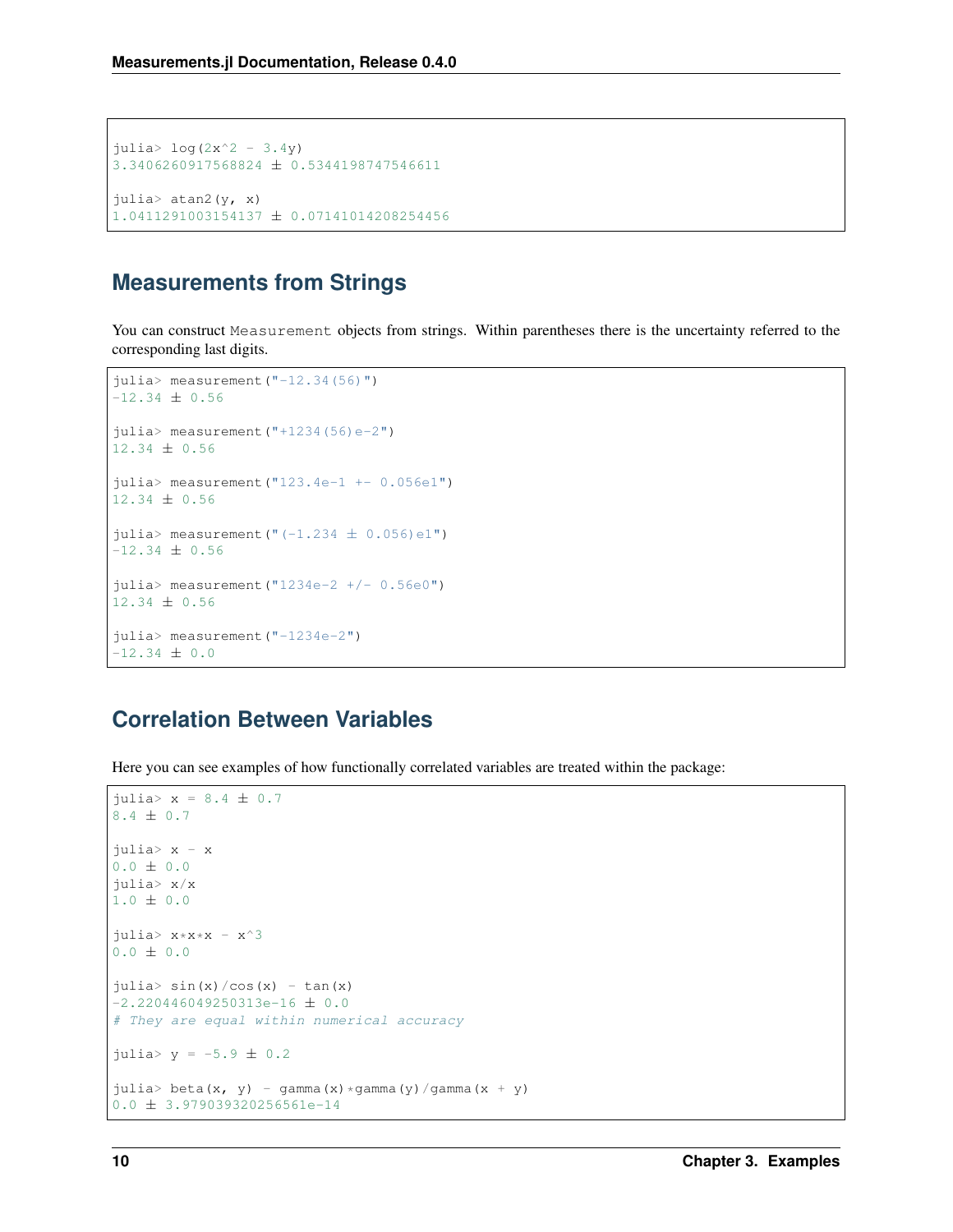```
julia> log(2x^2 - 3.4y)3.3406260917568824 ± 0.5344198747546611
julia> atan2(y, x)1.0411291003154137 ± 0.07141014208254456
```
## <span id="page-13-0"></span>**Measurements from Strings**

You can construct Measurement objects from strings. Within parentheses there is the uncertainty referred to the corresponding last digits.

```
julia> measurement("-12.34(56)")-12.34 \pm 0.56julia> measurement ("+1234(56)e-2")12.34 \pm 0.56julia> measurement("123.4e-1 +- 0.056e1")
12.34 ± 0.56
julia> measurement ("(-1.234 \pm 0.056)e1")
-12.34 \pm 0.56julia> measurement("1234e-2 +/- 0.56e0")
12.34 ± 0.56
julia> measurement("-1234e-2")
-12.34 \pm 0.0
```
## <span id="page-13-1"></span>**Correlation Between Variables**

Here you can see examples of how functionally correlated variables are treated within the package:

```
julia> x = 8.4 ± 0.7
8.4 ± 0.7
julia> x - x
0.0 \pm 0.0julia> x/x
1.0 ± 0.0
julia> x \times x \times x - x^30.0 \pm 0.0julia> sin(x)/cos(x) - tan(x)-2.220446049250313e-16 \pm 0.0# They are equal within numerical accuracy
julia> y = -5.9 \pm 0.2julia> beta(x, y) - gamma(x) *gamma(y) /gamma(x + y)
0.0 ± 3.979039320256561e-14
```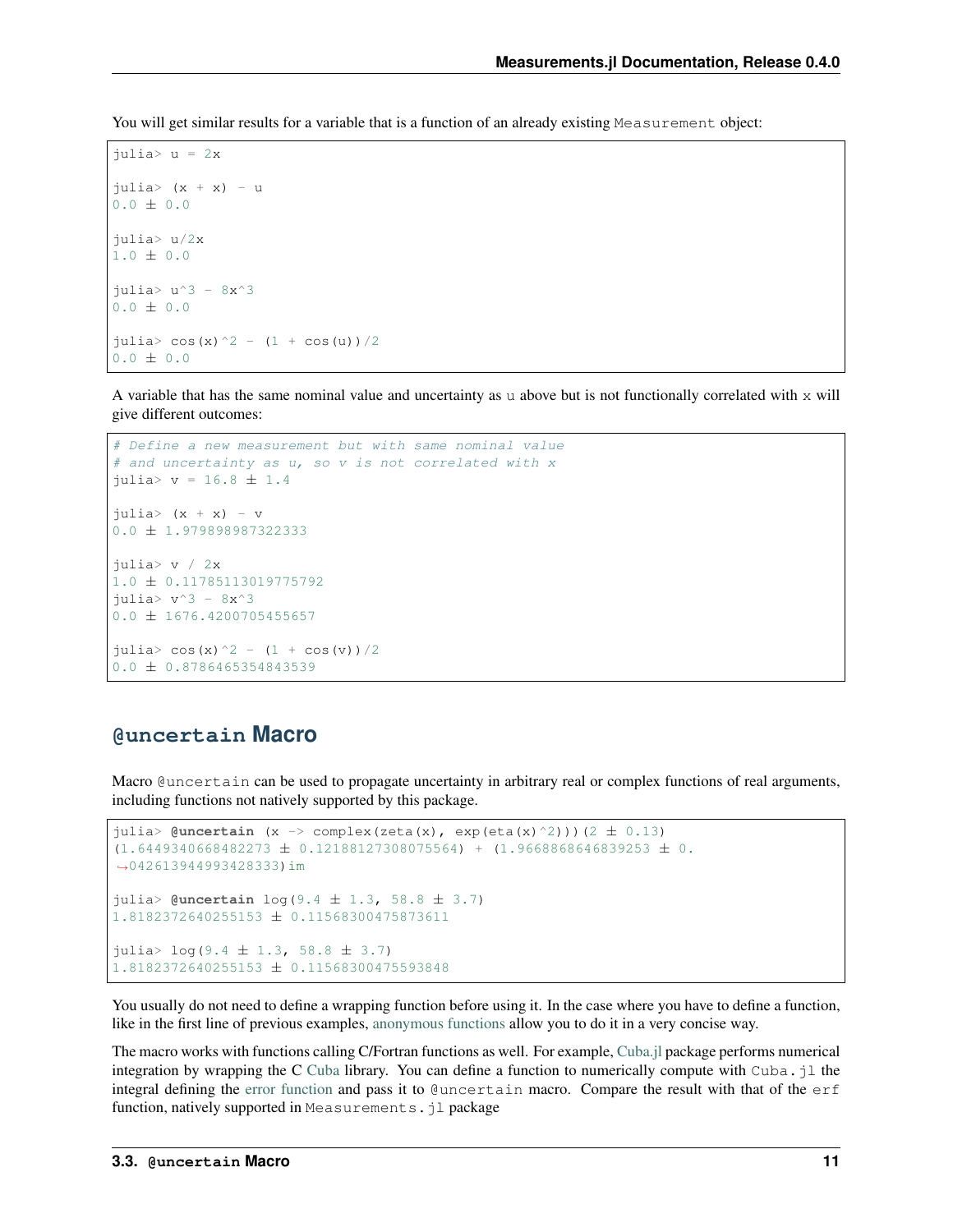You will get similar results for a variable that is a function of an already existing Measurement object:

```
\frac{1}{2}ulia> u = 2x
julis (x + x) - u0.0 \pm 0.0julia> u/2x
1.0 \pm 0.0julia> u^3 - 8x^30.0 \pm 0.0julia> cos(x)^2 - (1 + cos(u))/2
0.0 \pm 0.0
```
A variable that has the same nominal value and uncertainty as u above but is not functionally correlated with  $x$  will give different outcomes:

```
# Define a new measurement but with same nominal value
# and uncertainty as u, so v is not correlated with x
julia> v = 16.8 \pm 1.4julia> (x + x) - v0.0 ± 1.979898987322333
julia> v / 2x
1.0 ± 0.11785113019775792
julia> v^3 - 8x^30.0 ± 1676.4200705455657
julia> \cos(x) ^2 - (1 + cos(v))/2
0.0 ± 0.8786465354843539
```
#### <span id="page-14-0"></span>**@uncertain Macro**

Macro @uncertain can be used to propagate uncertainty in arbitrary real or complex functions of real arguments, including functions not natively supported by this package.

```
julia> \mathsf{Quncertain}(x \rightarrow \text{complex}(zeta(x), \exp(\text{eta}(x) \land 2)))(2 ± 0.13)
(1.6449340668482273 \pm 0.12188127308075564) + (1.9668868646839253 \pm 0.˓→042613944993428333)im
julia> @uncertain log(9.4 ± 1.3, 58.8 ± 3.7)
1.8182372640255153 ± 0.11568300475873611
julia> log(9.4 \pm 1.3, 58.8 \pm 3.7)1.8182372640255153 ± 0.11568300475593848
```
You usually do not need to define a wrapping function before using it. In the case where you have to define a function, like in the first line of previous examples, [anonymous functions](http://docs.julialang.org/en/stable/manual/functions/#anonymous-functions) allow you to do it in a very concise way.

The macro works with functions calling C/Fortran functions as well. For example, [Cuba.jl](https://github.com/giordano/Cuba.jl) package performs numerical integration by wrapping the C [Cuba](http://www.feynarts.de/cuba/) library. You can define a function to numerically compute with Cuba.  $\exists$  1 the integral defining the [error function](https://en.wikipedia.org/wiki/Error_function) and pass it to @uncertain macro. Compare the result with that of the erf function, natively supported in Measurements. il package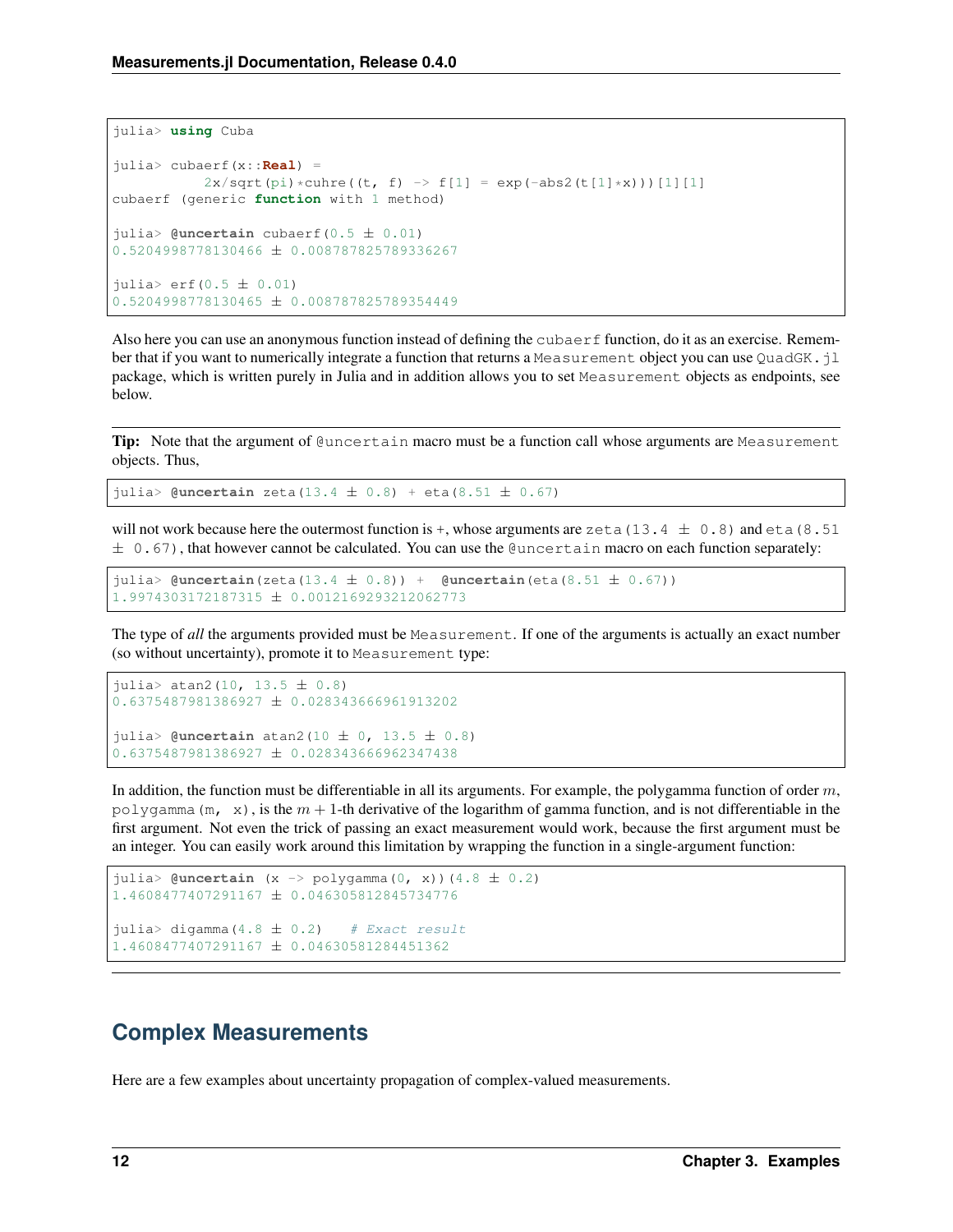```
julia> using Cuba
julia> cubaerf(x::Real) =
            2x/\sqrt{2x} (pi) *cuhre((t, f) -> f[1] = exp(-abs2(t[1]*x)))[1][1]
cubaerf (generic function with 1 method)
julia> @uncertain cubaerf(0.5 ± 0.01)
0.5204998778130466 ± 0.008787825789336267
juli<sub>2</sub>erf(0.5 <math>\pm</math> 0.01)0.5204998778130465 ± 0.008787825789354449
```
Also here you can use an anonymous function instead of defining the cubaer  $f$  function, do it as an exercise. Remember that if you want to numerically integrate a function that returns a Measurement object you can use QuadGK. jl package, which is written purely in Julia and in addition allows you to set Measurement objects as endpoints, see below.

**Tip:** Note that the argument of  $\ell$ uncertain macro must be a function call whose arguments are Measurement objects. Thus,

julia> **@uncertain** zeta(13.4 ± 0.8) + eta(8.51 ± 0.67)

will not work because here the outermost function is +, whose arguments are zeta (13.4  $\pm$  0.8) and eta (8.51  $\pm$  0.67), that however cannot be calculated. You can use the @uncertain macro on each function separately:

```
julia> @uncertain(zeta(13.4 ± 0.8)) + @uncertain(eta(8.51 ± 0.67))
1.9974303172187315 ± 0.0012169293212062773
```
The type of *all* the arguments provided must be Measurement. If one of the arguments is actually an exact number (so without uncertainty), promote it to Measurement type:

```
julia> atan2(10, 13.5 \pm 0.8)
0.6375487981386927 ± 0.028343666961913202
julia> @uncertain atan2(10 ± 0, 13.5 ± 0.8)
0.6375487981386927 ± 0.028343666962347438
```
In addition, the function must be differentiable in all its arguments. For example, the polygamma function of order  $m$ , polygamma (m, x), is the  $m + 1$ -th derivative of the logarithm of gamma function, and is not differentiable in the first argument. Not even the trick of passing an exact measurement would work, because the first argument must be an integer. You can easily work around this limitation by wrapping the function in a single-argument function:

```
julia> \mathfrak{g}uncertain (x \rightarrow \text{polygamma(mm)}(0, x)) (4.8 \pm 0.2)1.4608477407291167 ± 0.046305812845734776
julia> digamma(4.8 \pm 0.2) # Exact result
1.4608477407291167 ± 0.04630581284451362
```
## <span id="page-15-0"></span>**Complex Measurements**

Here are a few examples about uncertainty propagation of complex-valued measurements.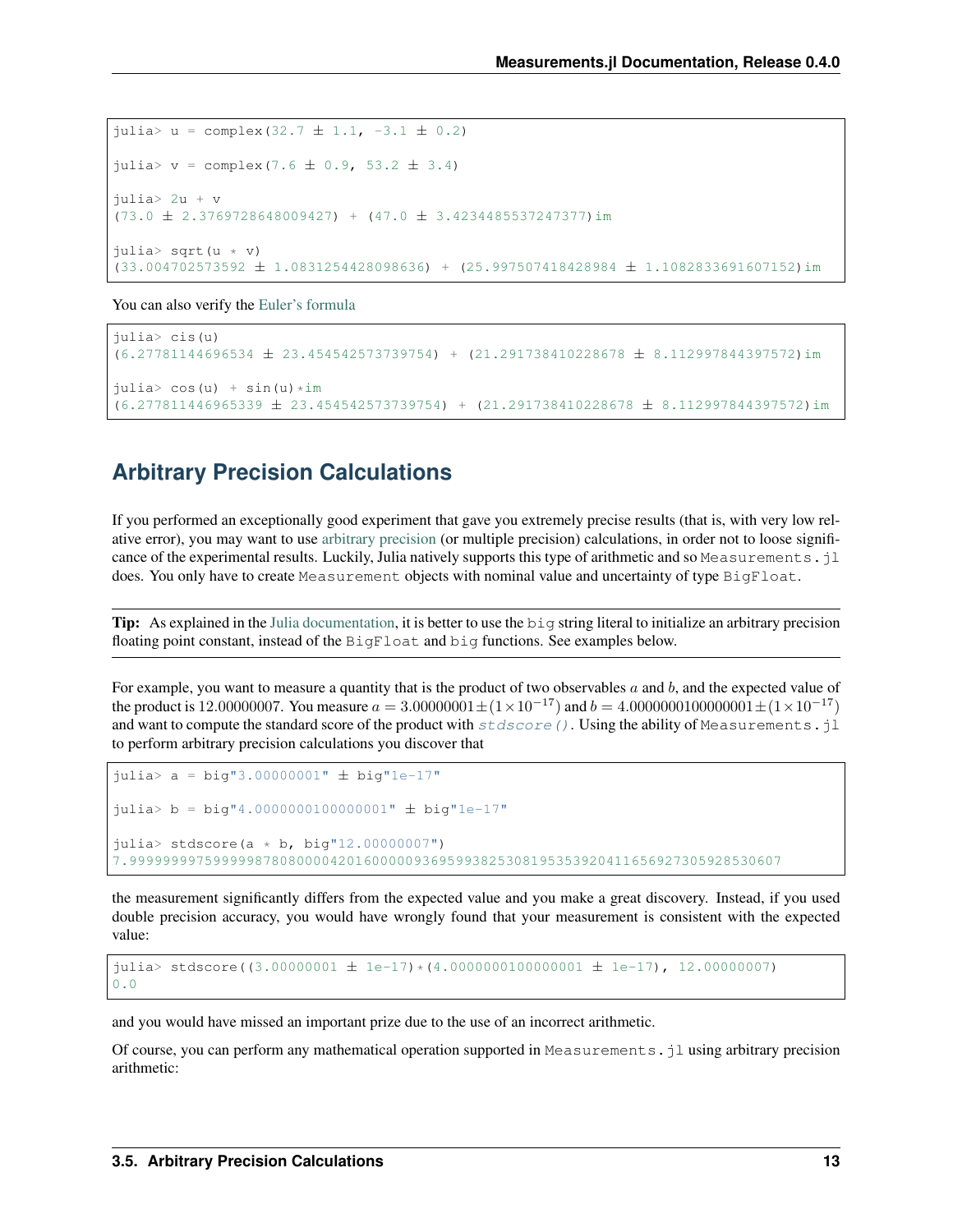```
julia> u = complex(32.7 \pm 1.1, -3.1 \pm 0.2)
julia> v = \text{complex}(7.6 \pm 0.9, 53.2 \pm 3.4)julia> 2u + v
(73.0 \pm 2.3769728648009427) + (47.0 \pm 3.4234485537247377) im
julia> sqrt(u * v)
(33.004702573592 ± 1.0831254428098636) + (25.997507418428984 ± 1.1082833691607152)im
```
You can also verify the [Euler's formula](https://en.wikipedia.org/wiki/Euler%27s_formula)

```
julia> cis(u)
(6.27781144696534 ± 23.454542573739754) + (21.291738410228678 ± 8.112997844397572)im
julia> cos(u) + sin(u) *im(6.277811446965339 ± 23.454542573739754) + (21.291738410228678 ± 8.112997844397572)im
```
## <span id="page-16-0"></span>**Arbitrary Precision Calculations**

If you performed an exceptionally good experiment that gave you extremely precise results (that is, with very low relative error), you may want to use [arbitrary precision](http://docs.julialang.org/en/stable/manual/integers-and-floating-point-numbers/#arbitrary-precision-arithmetic) (or multiple precision) calculations, in order not to loose significance of the experimental results. Luckily, Julia natively supports this type of arithmetic and so Measurements. jl does. You only have to create Measurement objects with nominal value and uncertainty of type BigFloat.

Tip: As explained in the [Julia documentation,](http://docs.julialang.org/en/stable/stdlib/numbers/#Base.BigFloat) it is better to use the big string literal to initialize an arbitrary precision floating point constant, instead of the BigFloat and big functions. See examples below.

For example, you want to measure a quantity that is the product of two observables  $a$  and  $b$ , and the expected value of the product is 12.00000007. You measure  $a = 3.00000001 \pm (1 \times 10^{-17})$  and  $b = 4.0000000100000001 \pm (1 \times 10^{-17})$ and want to compute the standard score of the product with  $stdscore()$ . Using the ability of Measurements.jl to perform arbitrary precision calculations you discover that

```
julia> a = big"3.00000001" ± big"1e-17"
julia> b = big"4.000000000000000001" \pm big"1e-17"
julia> stdscore(a * b, big"12.00000007")
7.999999997599999878080000420160000093695993825308195353920411656927305928530607
```
the measurement significantly differs from the expected value and you make a great discovery. Instead, if you used double precision accuracy, you would have wrongly found that your measurement is consistent with the expected value:

```
julia> stdscore((3.00000001 ± 1e-17) *(4.00000001000000001 \pm 1e-17), 12.00000007)
0.0
```
and you would have missed an important prize due to the use of an incorrect arithmetic.

Of course, you can perform any mathematical operation supported in Measurements. jl using arbitrary precision arithmetic: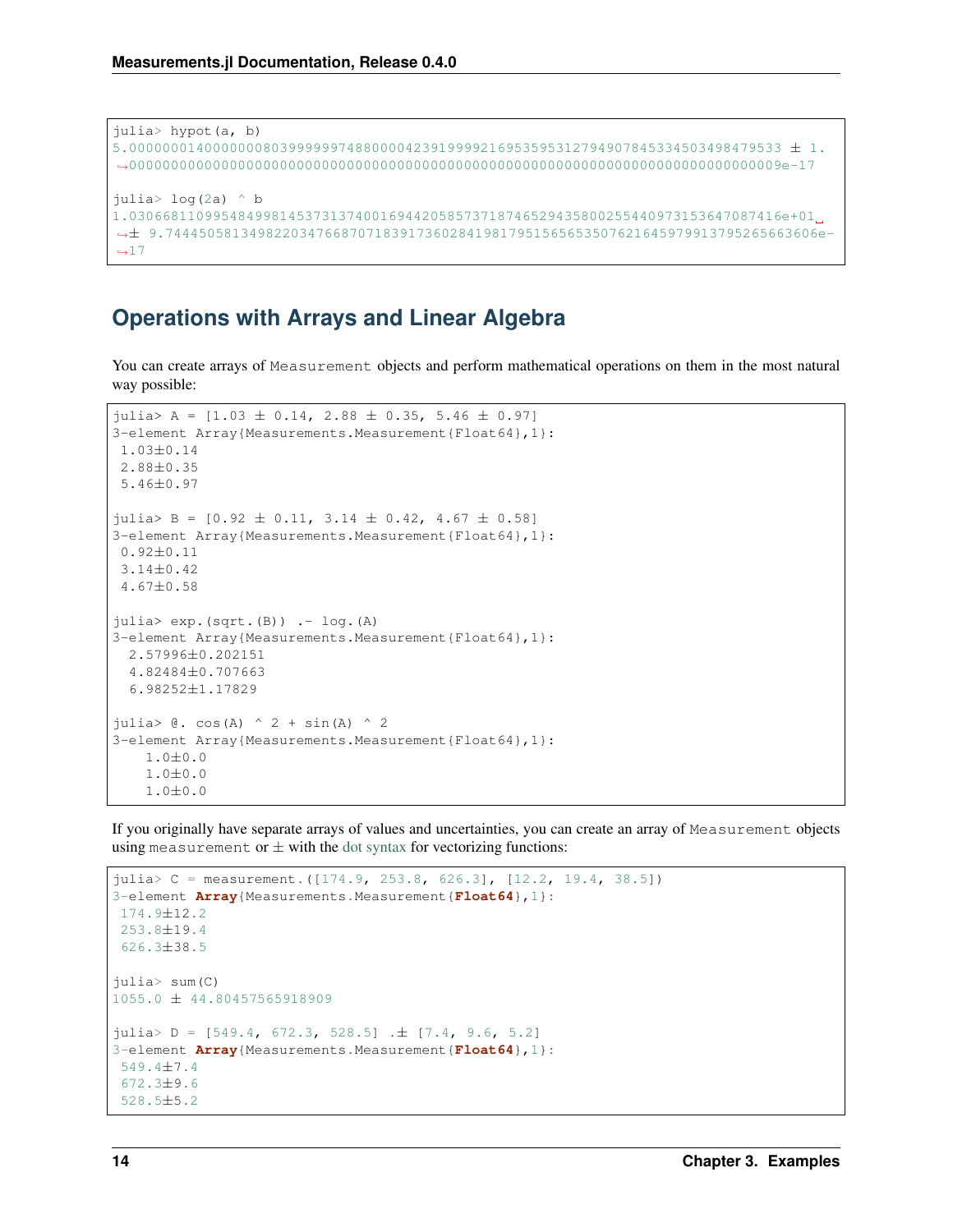```
julia> hypot(a, b)
5.000000014000000080399999974880000423919999216953595312794907845334503498479533 ± 1.
˓→000000000000000000000000000000000000000000000000000000000000000000000000000009e-17
julia> log(2a) ^ b
1.030668110995484998145373137400169442058573718746529435800255440973153647087416e+01
˓→± 9.744450581349822034766870718391736028419817951565653507621645979913795265663606e-
\rightarrow 17
```
### <span id="page-17-0"></span>**Operations with Arrays and Linear Algebra**

You can create arrays of Measurement objects and perform mathematical operations on them in the most natural way possible:

```
julia> A = [1.03 \pm 0.14, 2.88 \pm 0.35, 5.46 \pm 0.97]3-element Array{Measurements.Measurement{Float64},1}:
1.03±0.14
2.88±0.35
5.46±0.97
julia> B = [0.92 \pm 0.11, 3.14 \pm 0.42, 4.67 \pm 0.58]3-element Array{Measurements.Measurement{Float64},1}:
0.92±0.11
3.14±0.42
4.67±0.58
julia> exp.(sqrt.(B)) .- log.(A)
3-element Array{Measurements.Measurement{Float64},1}:
  2.57996±0.202151
  4.82484±0.707663
  6.98252±1.17829
julia> \theta. cos(A) \wedge 2 + sin(A) \wedge 2
3-element Array{Measurements.Measurement{Float64},1}:
    1.0±0.0
    1.0±0.0
    1.0±0.0
```
If you originally have separate arrays of values and uncertainties, you can create an array of Measurement objects using measurement or  $\pm$  with the [dot syntax](http://docs.julialang.org/en/stable/manual/functions/#man-dot-vectorizing) for vectorizing functions:

```
julia> C = measurement.([174.9, 253.8, 626.3], [12.2, 19.4, 38.5])
3-element Array{Measurements.Measurement{Float64},1}:
174.9±12.2
253.8±19.4
626.3±38.5
julia> sum(C)
1055.0 ± 44.80457565918909
julia> D = [549.4, 672.3, 528.5] . \pm [7.4, 9.6, 5.2]3-element Array{Measurements.Measurement{Float64},1}:
549.4±7.4
 672.3±9.6
528.5±5.2
```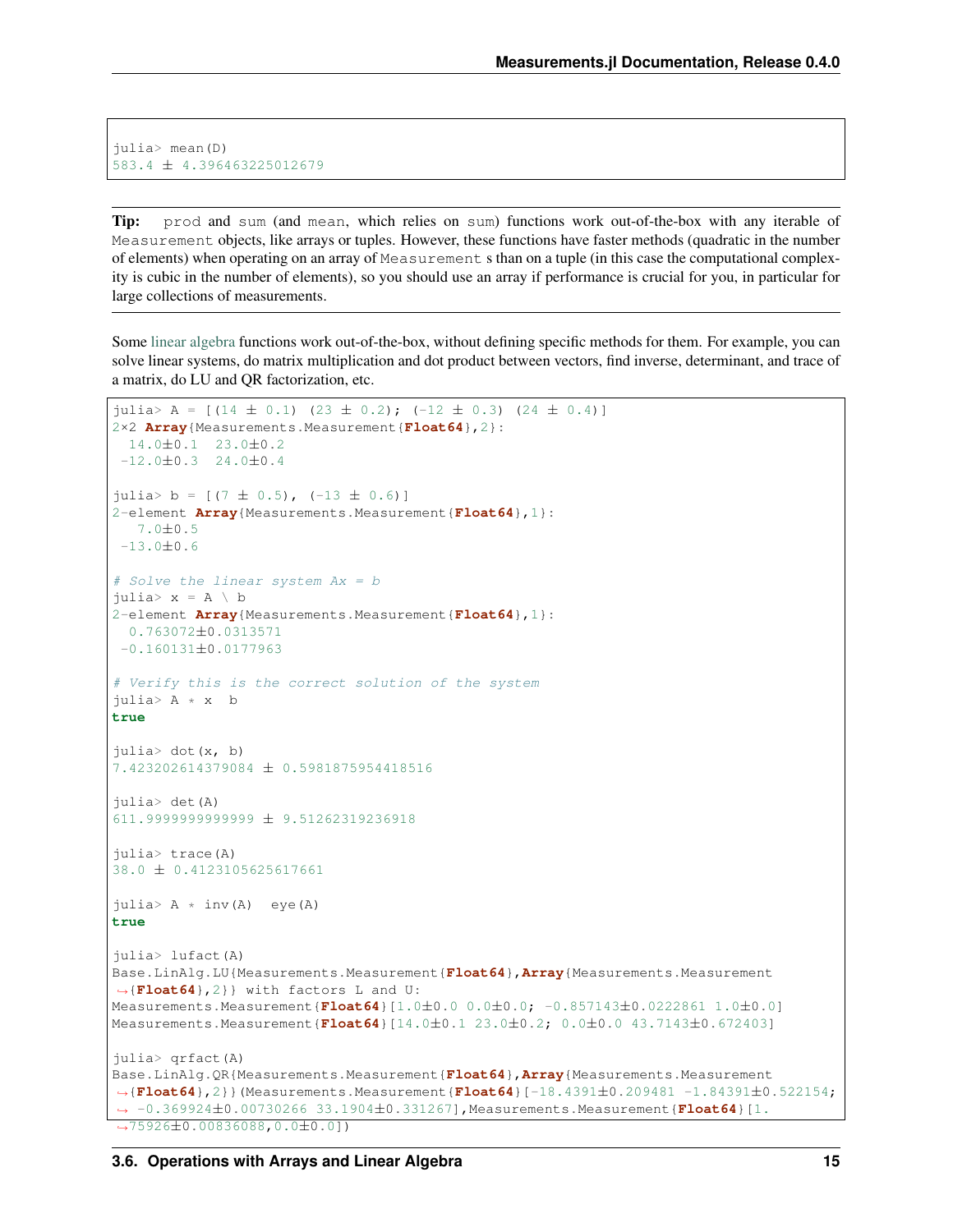julia> mean(D) 583.4 ± 4.396463225012679

Tip: prod and sum (and mean, which relies on sum) functions work out-of-the-box with any iterable of Measurement objects, like arrays or tuples. However, these functions have faster methods (quadratic in the number of elements) when operating on an array of Measurement s than on a tuple (in this case the computational complexity is cubic in the number of elements), so you should use an array if performance is crucial for you, in particular for large collections of measurements.

Some [linear algebra](http://docs.julialang.org/en/stable/stdlib/linalg/) functions work out-of-the-box, without defining specific methods for them. For example, you can solve linear systems, do matrix multiplication and dot product between vectors, find inverse, determinant, and trace of a matrix, do LU and QR factorization, etc.

```
julia> A = [(14 \pm 0.1) (23 \pm 0.2); (-12 \pm 0.3) (24 \pm 0.4)]2×2 Array{Measurements.Measurement{Float64},2}:
 14.0±0.1 23.0±0.2
-12.0\pm0.3 24.0\pm0.4julia> b = [(7 \pm 0.5), (-13 \pm 0.6)]2-element Array{Measurements.Measurement{Float64},1}:
  7.0±0.5
-13.0±0.6
# Solve the linear system Ax = b
julia> x = A \setminus b2-element Array{Measurements.Measurement{Float64},1}:
 0.763072±0.0313571
-0.160131±0.0177963
# Verify this is the correct solution of the system
julia> A * x b
true
julia> dot(x, b)
7.423202614379084 ± 0.5981875954418516
julia> det(A)
611.9999999999999 ± 9.51262319236918
julia> trace(A)
38.0 ± 0.4123105625617661
julia> A * inv(A) eye(A)
true
julia> lufact(A)
Base.LinAlg.LU{Measurements.Measurement{Float64},Array{Measurements.Measurement
˓→{Float64},2}} with factors L and U:
Measurements.Measurement{Float64}[1.0±0.0 0.0±0.0; -0.857143±0.0222861 1.0±0.0]
Measurements.Measurement{Float64}[14.0±0.1 23.0±0.2; 0.0±0.0 43.7143±0.672403]
julia> qrfact(A)
Base.LinAlg.QR{Measurements.Measurement{Float64},Array{Measurements.Measurement
˓→{Float64},2}}(Measurements.Measurement{Float64}[-18.4391±0.209481 -1.84391±0.522154;
˓→ -0.369924±0.00730266 33.1904±0.331267],Measurements.Measurement{Float64}[1.
˓→75926±0.00836088,0.0±0.0])
```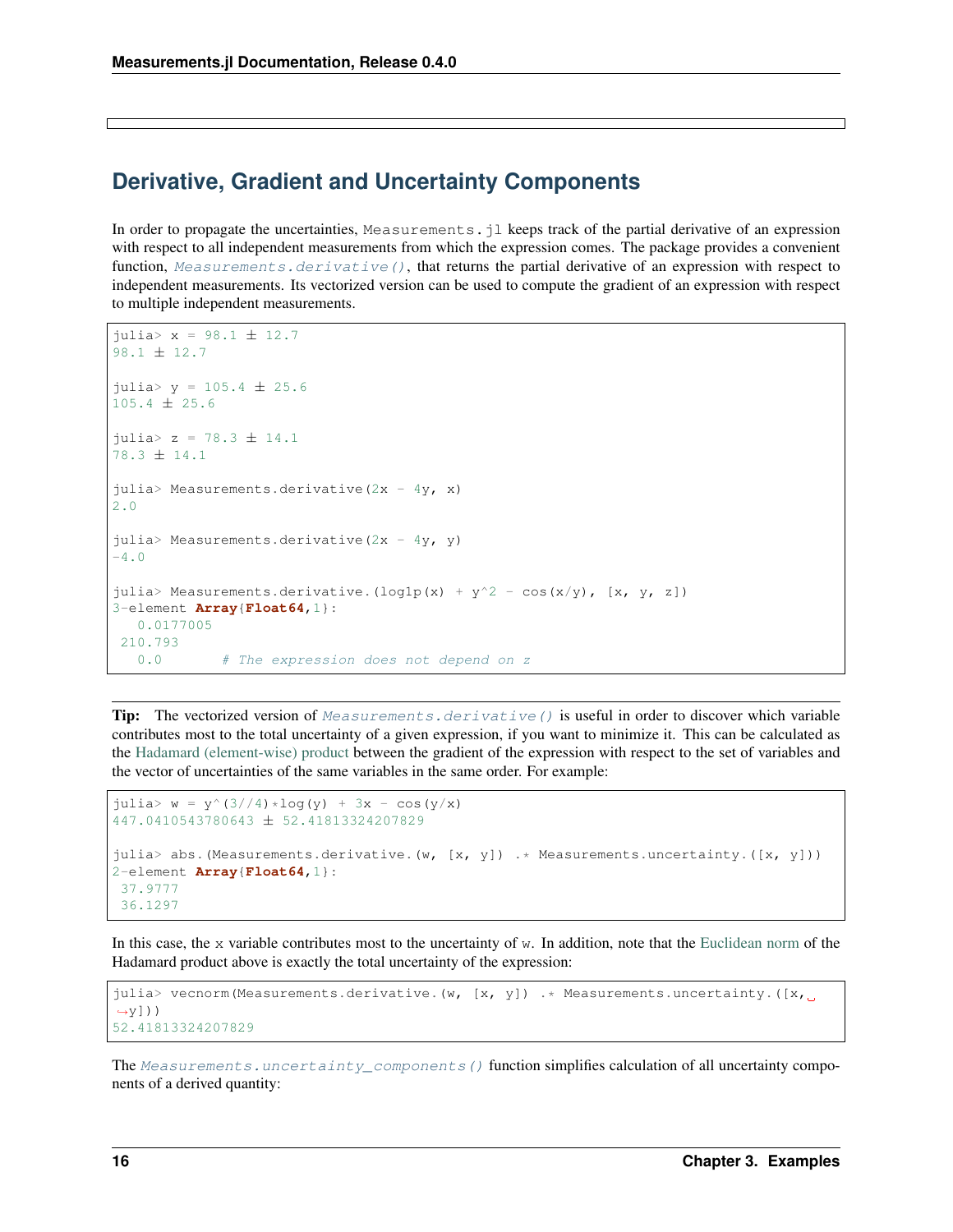## <span id="page-19-0"></span>**Derivative, Gradient and Uncertainty Components**

In order to propagate the uncertainties, Measurements. jl keeps track of the partial derivative of an expression with respect to all independent measurements from which the expression comes. The package provides a convenient function, [Measurements.derivative\(\)](#page-10-6), that returns the partial derivative of an expression with respect to independent measurements. Its vectorized version can be used to compute the gradient of an expression with respect to multiple independent measurements.

```
julia> x = 98.1 ± 12.7
98.1 ± 12.7
julia> y = 105.4 \pm 25.6105.4 ± 25.6
julia> z = 78.3 ± 14.1
78.3 ± 14.1
julia> Measurements.derivative(2x - 4y, x)
2.0
julia> Measurements.derivative(2x - 4y, y)
-4.0julia> Measurements.derivative.(log1p(x) + y^2 - cos(x/y), [x, y, z])
3-element Array{Float64,1}:
  0.0177005
210.793
  0.0 # The expression does not depend on z
```
**Tip:** The vectorized version of [Measurements.derivative\(\)](#page-10-6) is useful in order to discover which variable contributes most to the total uncertainty of a given expression, if you want to minimize it. This can be calculated as the [Hadamard \(element-wise\) product](https://en.wikipedia.org/wiki/Hadamard_product_%28matrices%29) between the gradient of the expression with respect to the set of variables and the vector of uncertainties of the same variables in the same order. For example:

```
julia> w = y^{(3//4) * log(y) + 3x - cos(y/x)447.0410543780643 ± 52.41813324207829
julia> abs.(Measurements.derivative.(w, [x, y]) .* Measurements.uncertainty.([x, y]))
2-element Array{Float64,1}:
37.9777
36.1297
```
In this case, the x variable contributes most to the uncertainty of w. In addition, note that the [Euclidean norm](https://en.wikipedia.org/wiki/Euclidean_norm) of the Hadamard product above is exactly the total uncertainty of the expression:

```
julia> vecnorm (Measurements.derivative.(w, [x, y]) .* Measurements.uncertainty.([x, u
\leftrightarrowv]))
52.41813324207829
```
The [Measurements.uncertainty\\_components\(\)](#page-10-7) function simplifies calculation of all uncertainty components of a derived quantity: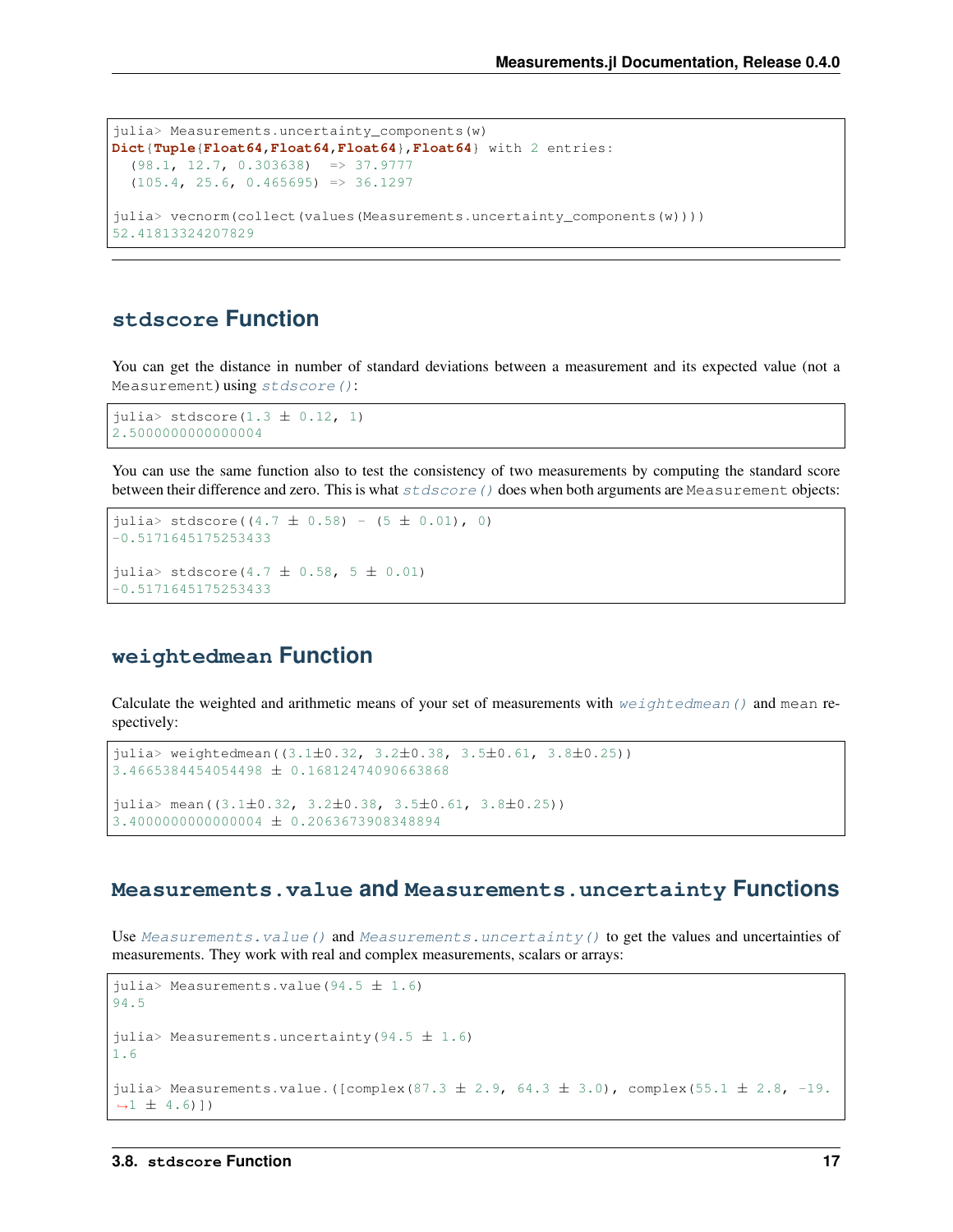```
julia> Measurements.uncertainty_components(w)
Dict{Tuple{Float64,Float64,Float64},Float64} with 2 entries:
  (98.1, 12.7, 0.303638) => 37.9777
  (105.4, 25.6, 0.465695) => 36.1297
julia> vecnorm(collect(values(Measurements.uncertainty_components(w))))
52.41813324207829
```
### <span id="page-20-0"></span>**stdscore Function**

You can get the distance in number of standard deviations between a measurement and its expected value (not a Measurement) using [stdscore\(\)](#page-10-5):

julia> stdscore $(1.3 \pm 0.12, 1)$ 2.5000000000000004

You can use the same function also to test the consistency of two measurements by computing the standard score between their difference and zero. This is what  $stdscore$  () does when both arguments are Measurement objects:

```
julia> stdscore((4.7 \pm 0.58) - (5 \pm 0.01), 0)
-0.5171645175253433
julia> stdscore(4.7 \pm 0.58, 5 \pm 0.01)-0.5171645175253433
```
#### <span id="page-20-1"></span>**weightedmean Function**

Calculate the weighted and arithmetic means of your set of measurements with  $weightedmean()$  and mean respectively:

```
julia> weightedmean((3.1±0.32, 3.2±0.38, 3.5±0.61, 3.8±0.25))
3.4665384454054498 ± 0.16812474090663868
julia > mean((3.1\pm0.32, 3.2\pm0.38, 3.5\pm0.61, 3.8\pm0.25))
3.4000000000000004 ± 0.2063673908348894
```
#### <span id="page-20-2"></span>**Measurements.value and Measurements.uncertainty Functions**

Use [Measurements.value\(\)](#page-10-9) and [Measurements.uncertainty\(\)](#page-10-10) to get the values and uncertainties of measurements. They work with real and complex measurements, scalars or arrays:

```
julia> Measurements.value(94.5 \pm 1.6)
94.5
julia> Measurements.uncertainty(94.5 \pm 1.6)
1.6
julia> Measurements.value.([complex(87.3 ± 2.9, 64.3 ± 3.0), complex(55.1 ± 2.8, -19.
\rightarrow 1 \pm 4.6)])
```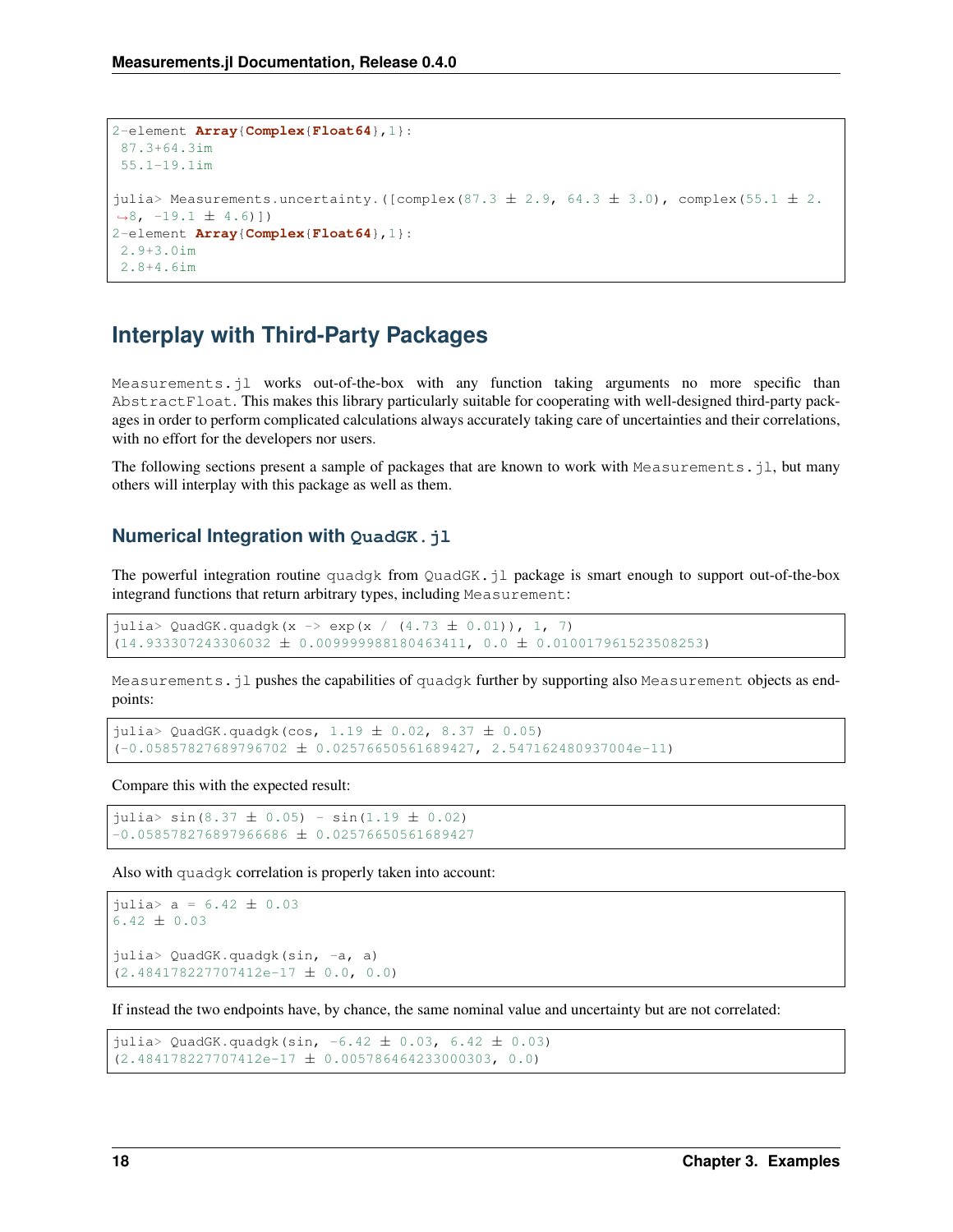```
2-element Array{Complex{Float64},1}:
 87.3+64.3im
55.1-19.1im
julia> Measurements.uncertainty.([complex(87.3 \pm 2.9, 64.3 \pm 3.0), complex(55.1 \pm 2.
\rightarrow 8, -19.1 \pm 4.6)])
2-element Array{Complex{Float64},1}:
2.9+3.0im
 2.8+4.6im
```
## <span id="page-21-0"></span>**Interplay with Third-Party Packages**

Measurements.jl works out-of-the-box with any function taking arguments no more specific than AbstractFloat. This makes this library particularly suitable for cooperating with well-designed third-party packages in order to perform complicated calculations always accurately taking care of uncertainties and their correlations, with no effort for the developers nor users.

The following sections present a sample of packages that are known to work with Measurements.  $j_1$ , but many others will interplay with this package as well as them.

#### **Numerical Integration with QuadGK.jl**

The powerful integration routine quadgk from QuadGK.jl package is smart enough to support out-of-the-box integrand functions that return arbitrary types, including Measurement:

```
julia> QuadGK.quadgk(x -> exp(x / (4.73 \pm 0.01)), 1, 7)
(14.933307243306032 ± 0.009999988180463411, 0.0 ± 0.010017961523508253)
```
Measurements.jl pushes the capabilities of quadgk further by supporting also Measurement objects as endpoints:

```
julia> QuadGK.quadgk(cos, 1.19 \pm 0.02, 8.37 \pm 0.05)
(-0.05857827689796702 \pm 0.02576650561689427, 2.547162480937004e-11)
```
Compare this with the expected result:

 $juli$   $\ge$  sin(8.37  $\pm$  0.05) - sin(1.19  $\pm$  0.02)  $-0.058578276897966686 \pm 0.02576650561689427$ 

Also with quadgk correlation is properly taken into account:

```
julia> a = 6.42 \pm 0.036.42 \pm 0.03julia> QuadGK.quadgk(sin, -a, a)
(2.484178227707412e-17 ± 0.0, 0.0)
```
If instead the two endpoints have, by chance, the same nominal value and uncertainty but are not correlated:

```
julia> QuadGK.quadgk(sin, -6.42 \pm 0.03, 6.42 \pm 0.03)
(2.484178227707412e-17 ± 0.005786464233000303, 0.0)
```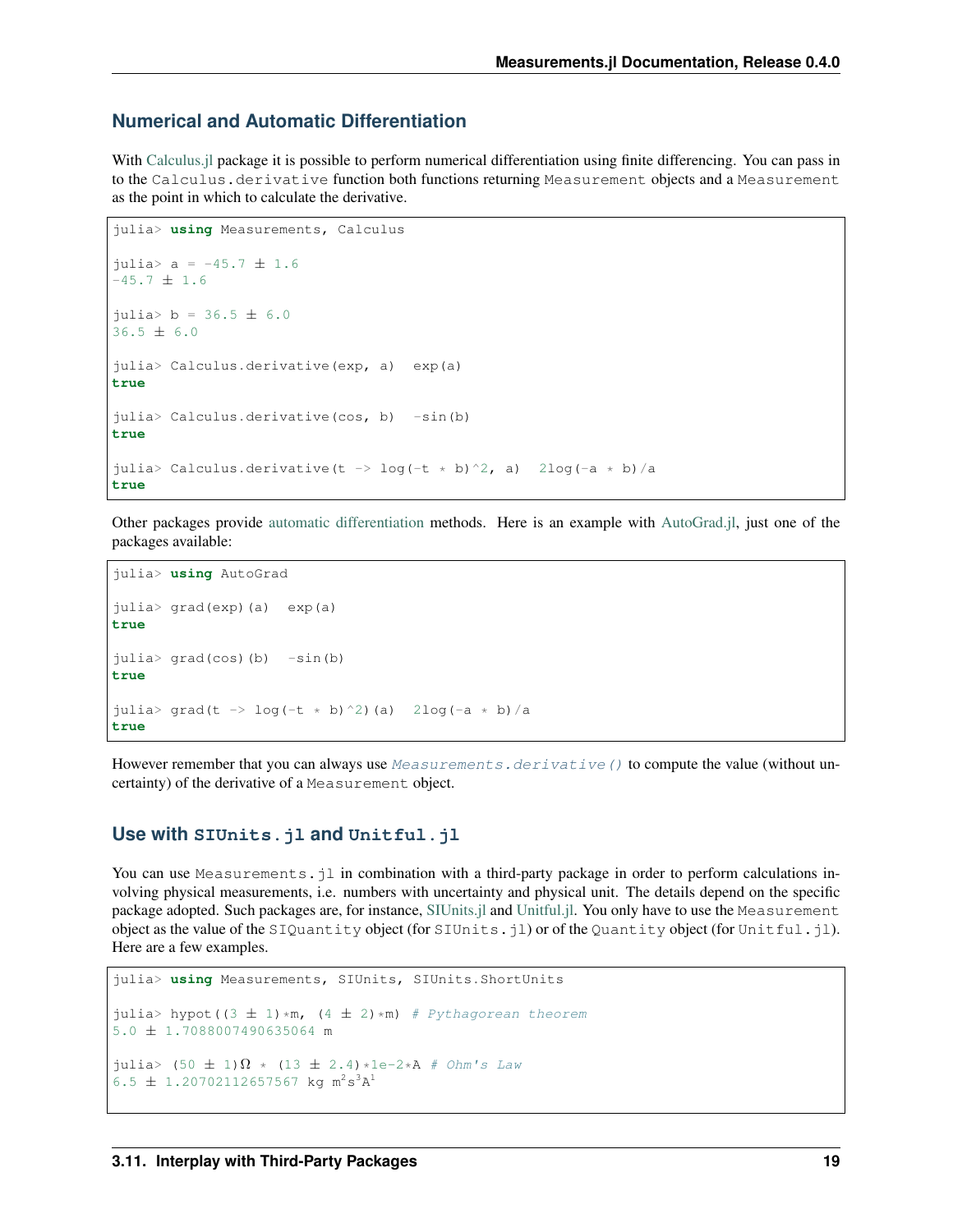#### **Numerical and Automatic Differentiation**

With [Calculus.jl](https://github.com/johnmyleswhite/Calculus.jl) package it is possible to perform numerical differentiation using finite differencing. You can pass in to the Calculus.derivative function both functions returning Measurement objects and a Measurement as the point in which to calculate the derivative.

```
julia> using Measurements, Calculus
julia> a = -45.7 \pm 1.6-45.7 \pm 1.6julus > b = 36.5 \pm 6.036.5 ± 6.0
julia> Calculus.derivative(exp, a) exp(a)
true
julia> Calculus.derivative(cos, b) -sin(b)true
julia> Calculus.derivative(t -> log(-t * b)^2, a) 2log(-a * b)/a
true
```
Other packages provide [automatic differentiation](https://en.wikipedia.org/wiki/Automatic_differentiation) methods. Here is an example with [AutoGrad.jl,](https://github.com/denizyuret/AutoGrad.jl) just one of the packages available:

```
julia> using AutoGrad
julia> grad(exp)(a) exp(a)
true
julia> grad(cos)(b) -sin(b)true
julia> grad(t -> log(-t * b)^2)(a) 2log(-a * b)/a
true
```
However remember that you can always use Measurements.  $derivative()$  to compute the value (without uncertainty) of the derivative of a Measurement object.

#### **Use with SIUnits.jl and Unitful.jl**

You can use Measurements.  $jl$  in combination with a third-party package in order to perform calculations involving physical measurements, i.e. numbers with uncertainty and physical unit. The details depend on the specific package adopted. Such packages are, for instance, [SIUnits.jl](https://github.com/Keno/SIUnits.jl) and [Unitful.jl.](https://github.com/ajkeller34/Unitful.jl) You only have to use the Measurement object as the value of the SIQuantity object (for SIUnits.jl) or of the Quantity object (for Unitful.jl). Here are a few examples.

```
julia> using Measurements, SIUnits, SIUnits.ShortUnits
julia> hypot((3 \pm 1)*m, (4 \pm 2)*m) # Pythagorean theorem
5.0 ± 1.7088007490635064 m
julia> (50 \pm 1)\Omega * (13 \pm 2.4) *1e-2*A # Ohm's Law
6.5 \pm 1.20702112657567 kg m<sup>2</sup>s<sup>3</sup>A<sup>1</sup>
```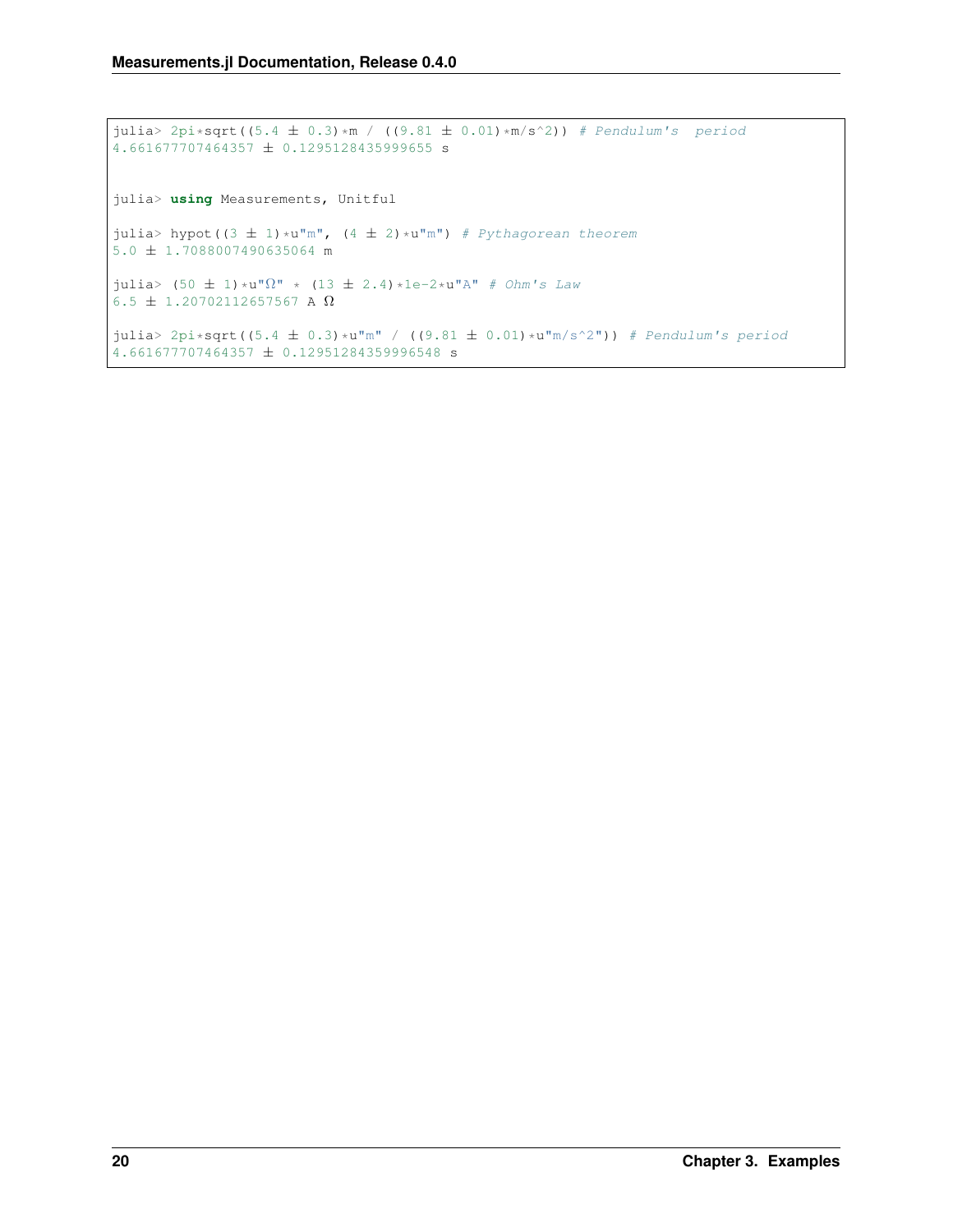```
julia> 2pi \cdot sqrt(5.4 \pm 0.3) *m / ((9.81 \pm 0.01) *m/s^2)) # Pendulum's period
4.661677707464357 ± 0.1295128435999655 s
julia> using Measurements, Unitful
julia> hypot((3 \pm 1)*u"m", (4 \pm 2)*u"m") # Pythagorean theorem
5.0 ± 1.7088007490635064 m
julia> (50 \pm 1)*u"\Omega" * (13 \pm 2.4)*1e-2*u"A" # Ohm's Law6.5 \pm 1.20702112657567 A \Omegajulia> 2pi*sqrt((5.4 \pm 0.3)*u"m" / ((9.81 \pm 0.01)*u"m/s^2")) # Pendulum's period
4.661677707464357 ± 0.12951284359996548 s
```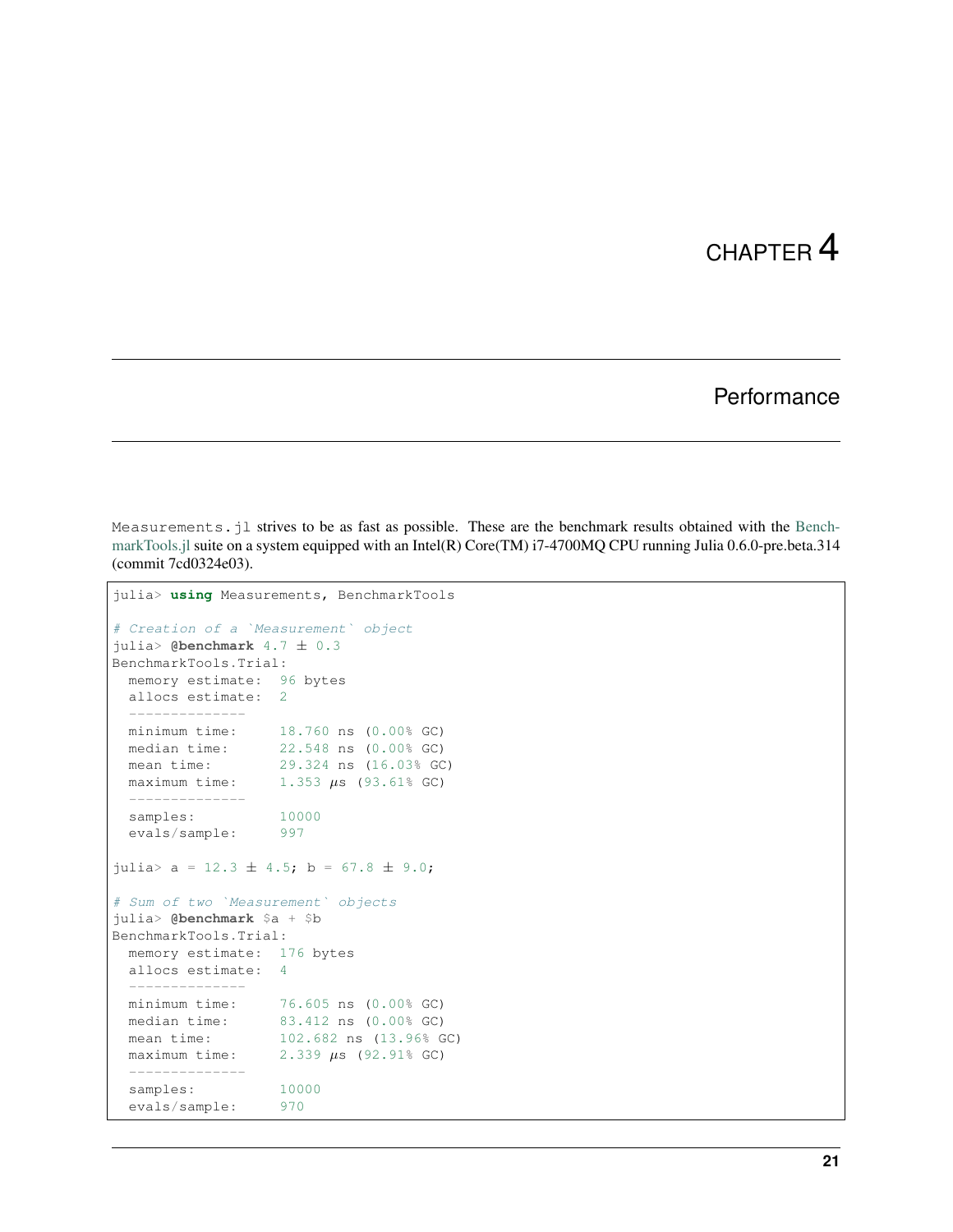### **Performance**

<span id="page-24-0"></span>Measurements.jl strives to be as fast as possible. These are the benchmark results obtained with the [Bench](https://github.com/JuliaCI/BenchmarkTools.jl)[markTools.jl](https://github.com/JuliaCI/BenchmarkTools.jl) suite on a system equipped with an Intel(R) Core(TM) i7-4700MQ CPU running Julia 0.6.0-pre.beta.314 (commit 7cd0324e03).

```
julia> using Measurements, BenchmarkTools
# Creation of a `Measurement` object
julia> @benchmark 4.7 ± 0.3
BenchmarkTools.Trial:
  memory estimate: 96 bytes
  allocs estimate: 2
  --------------
  minimum time: 18.760 ns (0.00% GC)
  median time: 22.548 ns (0.00% GC)
 minimum time: <br>
median time: 22.548 ns (0.00% GC)<br>
mean time: 29.324 ns (16.03% GC)
 maximum time: 1.353 \mu s (93.61% GC)
  --------------
 samples: 10000
  evals/sample: 997
julia> a = 12.3 \pm 4.5; b = 67.8 \pm 9.0;
# Sum of two `Measurement` objects
julia> @benchmark $a + $b
BenchmarkTools.Trial:
 memory estimate: 176 bytes
 allocs estimate: 4
  --------------
  minimum time: 76.605 ns (0.00% GC)
  median time: 83.412 ns (0.00% GC)
  mean time: 102.682 ns (13.96% GC)
 maximum time: 2.339 \text{ }\mu\text{s} (92.91% GC)
  --------------
  samples: 10000
  evals/sample: 970
```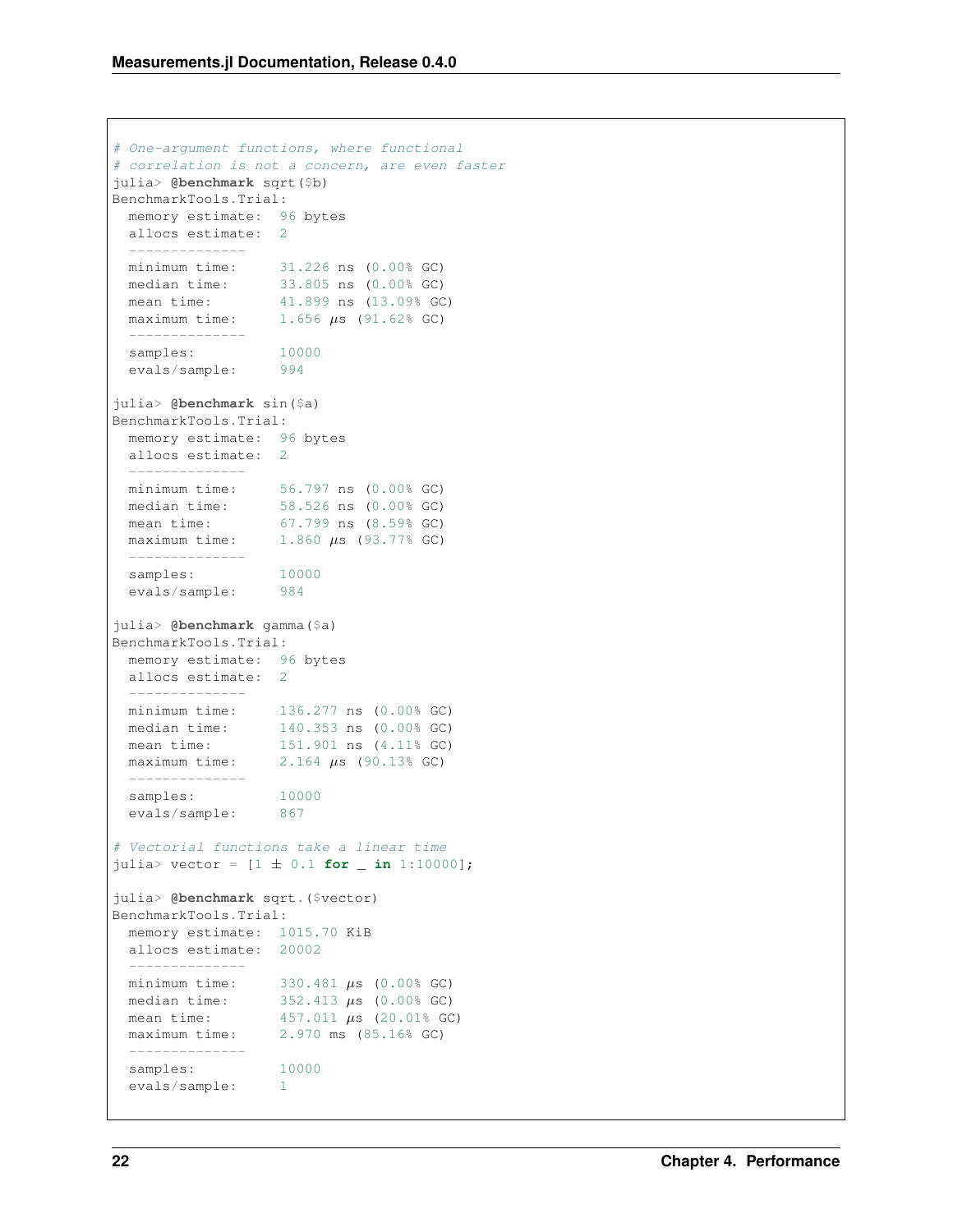```
# One-argument functions, where functional
# correlation is not a concern, are even faster
julia> @benchmark sqrt($b)
BenchmarkTools.Trial:
 memory estimate: 96 bytes
 allocs estimate: 2
  --------------
  minimum time: 31.226 ns (0.00% GC)
  median time: 33.805 ns (0.00% GC)
  mean time: 41.899 ns (13.09% GC)
  maximum time: 1.656 \mu s (91.62% GC)
  --------------
  samples: 10000
  evals/sample: 994
julia> @benchmark sin($a)
BenchmarkTools.Trial:
 memory estimate: 96 bytes
 allocs estimate: 2
  --------------
  minimum time: 56.797 ns (0.00% GC)
  median time: 58.526 ns (0.00% GC)
  mean time: 67.799 ns (8.59% GC)
 maximum time: 1.860 \mu s (93.77% GC)
  --------------
 samples: 10000
 evals/sample: 984
julia> @benchmark gamma($a)
BenchmarkTools.Trial:
 memory estimate: 96 bytes
 allocs estimate: 2
  --------------
  minimum time: 136.277 ns (0.00% GC)
  median time: 140.353 ns (0.00% GC)
  mean time: 151.901 ns (4.11% GC)
 maximum time: 2.164 \text{ }\mu\text{s} (90.13% GC)
  --------------
  samples: 10000
  evals/sample: 867
# Vectorial functions take a linear time
juli vector = [1 \pm 0.1 for \pm in 1:10000];
julia> @benchmark sqrt.($vector)
BenchmarkTools.Trial:
 memory estimate: 1015.70 KiB
 allocs estimate: 20002
  --------------
  minimum time: 330.481 \mu s (0.00% GC)
  median time: 352.413 \mu s (0.00% GC)
  mean time: 457.011 \text{ }\mu\text{s} (20.01% GC)
  maximum time: 2.970 ms (85.16% GC)
  --------------
 samples: 10000
 evals/sample: 1
```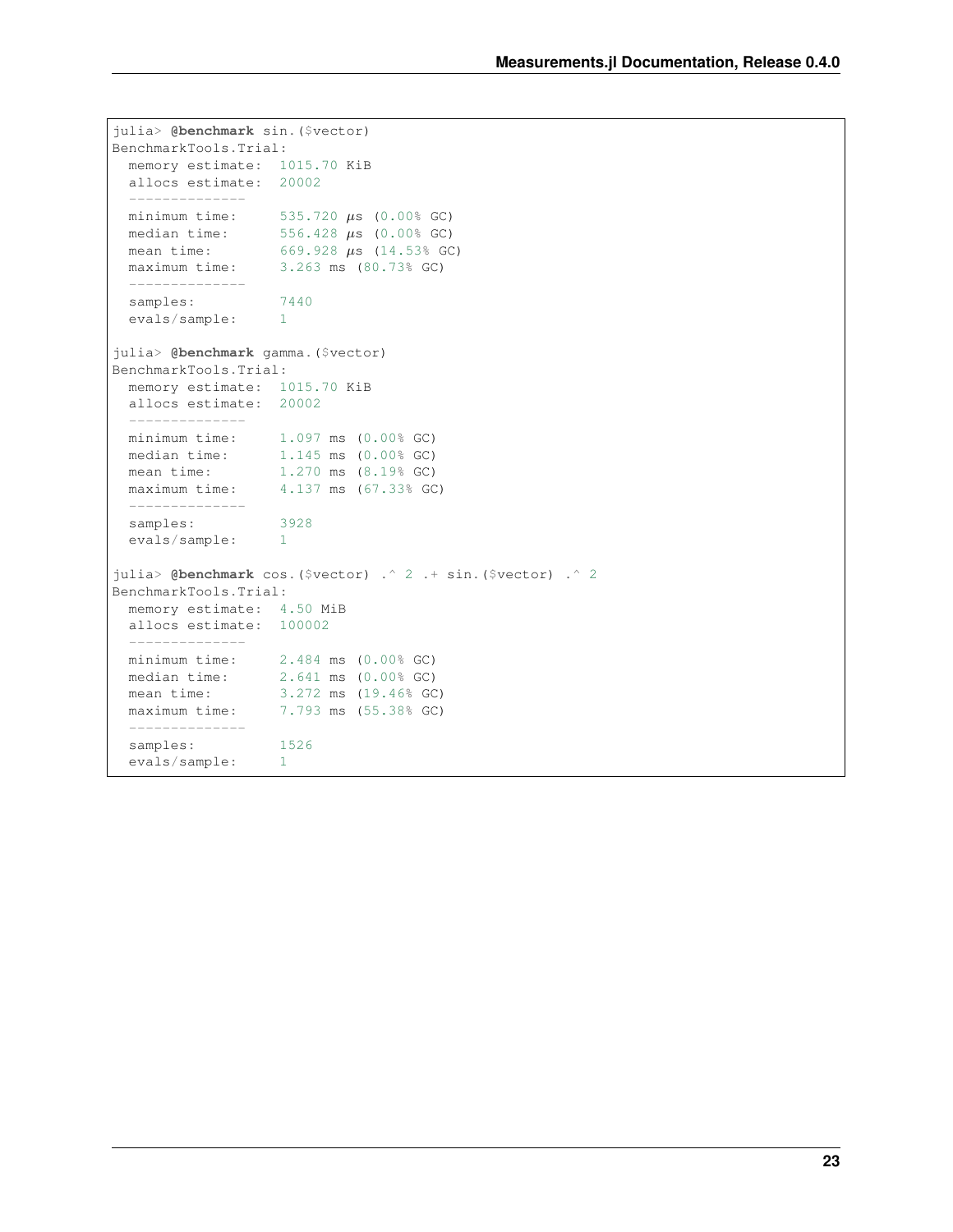```
julia> @benchmark sin.($vector)
BenchmarkTools.Trial:
 memory estimate: 1015.70 KiB
 allocs estimate: 20002
  --------------
  minimum time: 535.720 \mu s (0.00% GC)
  median time: 556.428 \mu s (0.00% GC)
  mean time: 669.928 \mu s (14.53% GC)
 maximum time: 3.263 ms (80.73% GC)
 --------------
 samples: 7440<br>evals/sample: 1
 evals/sample: 1
julia> @benchmark gamma.($vector)
BenchmarkTools.Trial:
 memory estimate: 1015.70 KiB
 allocs estimate: 20002
 --------------
 minimum time: 1.097 ms (0.00% GC)<br>median time: 1.145 ms (0.00% GC)
                 1.145 ms (0.00% GC)
 mean time: 1.270 ms (8.19% GC)
 maximum time: 4.137 ms (67.33% GC)
 --------------
 samples: 3928
 evals/sample: 1
julia> @benchmark cos.($vector) .^ 2 .+ sin.($vector) .^ 2
BenchmarkTools.Trial:
 memory estimate: 4.50 MiB
 allocs estimate: 100002
  --------------
  minimum time: 2.484 ms (0.00% GC)
  median time: 2.641 ms (0.00% GC)
  mean time: 3.272 ms (19.46% GC)
 maximum time: 7.793 ms (55.38% GC)
  --------------
 samples: 1526
 evals/sample: 1
```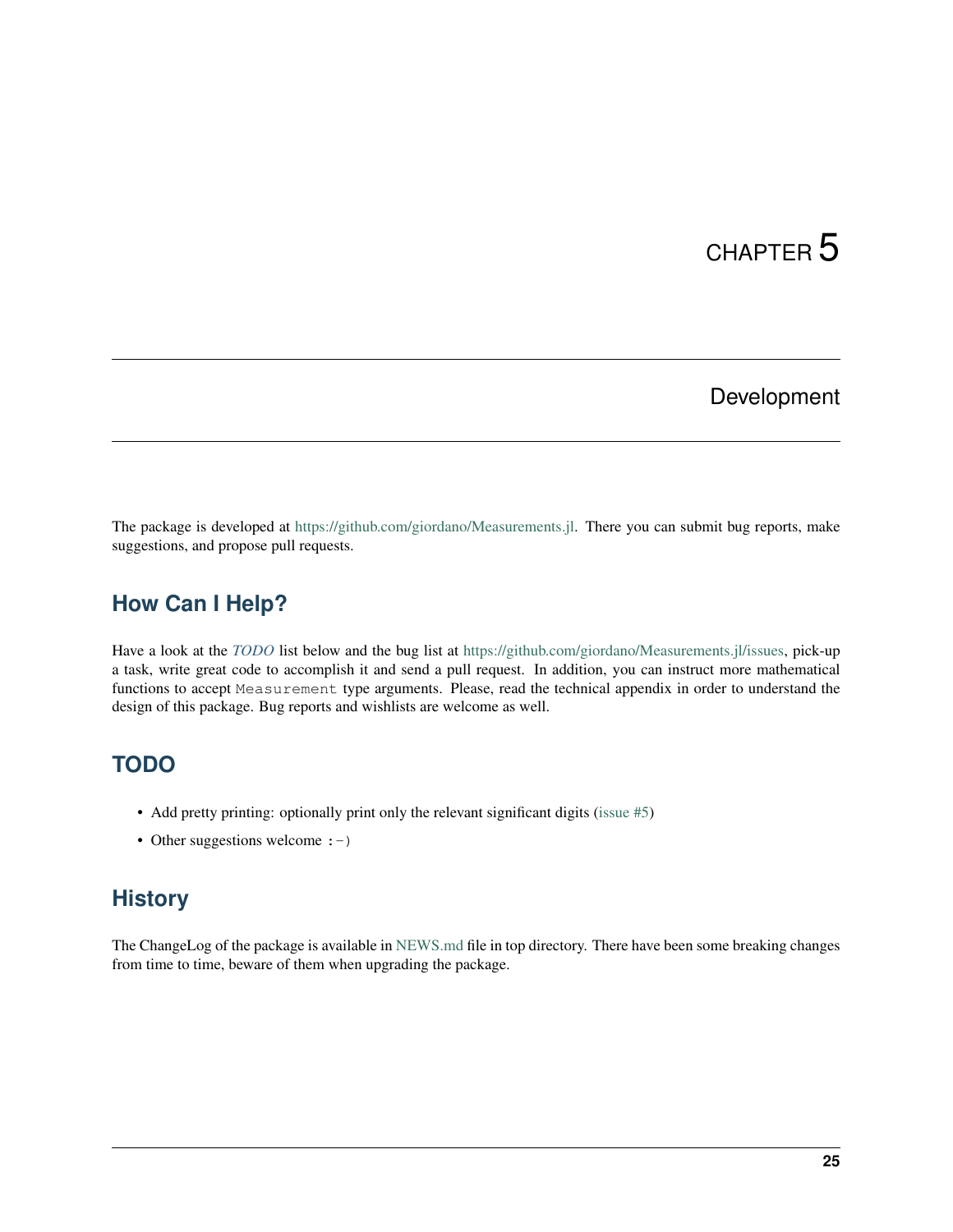## Development

<span id="page-28-0"></span>The package is developed at [https://github.com/giordano/Measurements.jl.](https://github.com/giordano/Measurements.jl) There you can submit bug reports, make suggestions, and propose pull requests.

## <span id="page-28-1"></span>**How Can I Help?**

Have a look at the *[TODO](#page-28-2)* list below and the bug list at [https://github.com/giordano/Measurements.jl/issues,](https://github.com/giordano/Measurements.jl/issues) pick-up a task, write great code to accomplish it and send a pull request. In addition, you can instruct more mathematical functions to accept Measurement type arguments. Please, read the technical appendix in order to understand the design of this package. Bug reports and wishlists are welcome as well.

## <span id="page-28-2"></span>**TODO**

- Add pretty printing: optionally print only the relevant significant digits [\(issue #5\)](https://github.com/giordano/Measurements.jl/issues/5)
- Other suggestions welcome : -)

## <span id="page-28-3"></span>**History**

The ChangeLog of the package is available in [NEWS.md](https://github.com/giordano/Measurements.jl/blob/master/NEWS.md) file in top directory. There have been some breaking changes from time to time, beware of them when upgrading the package.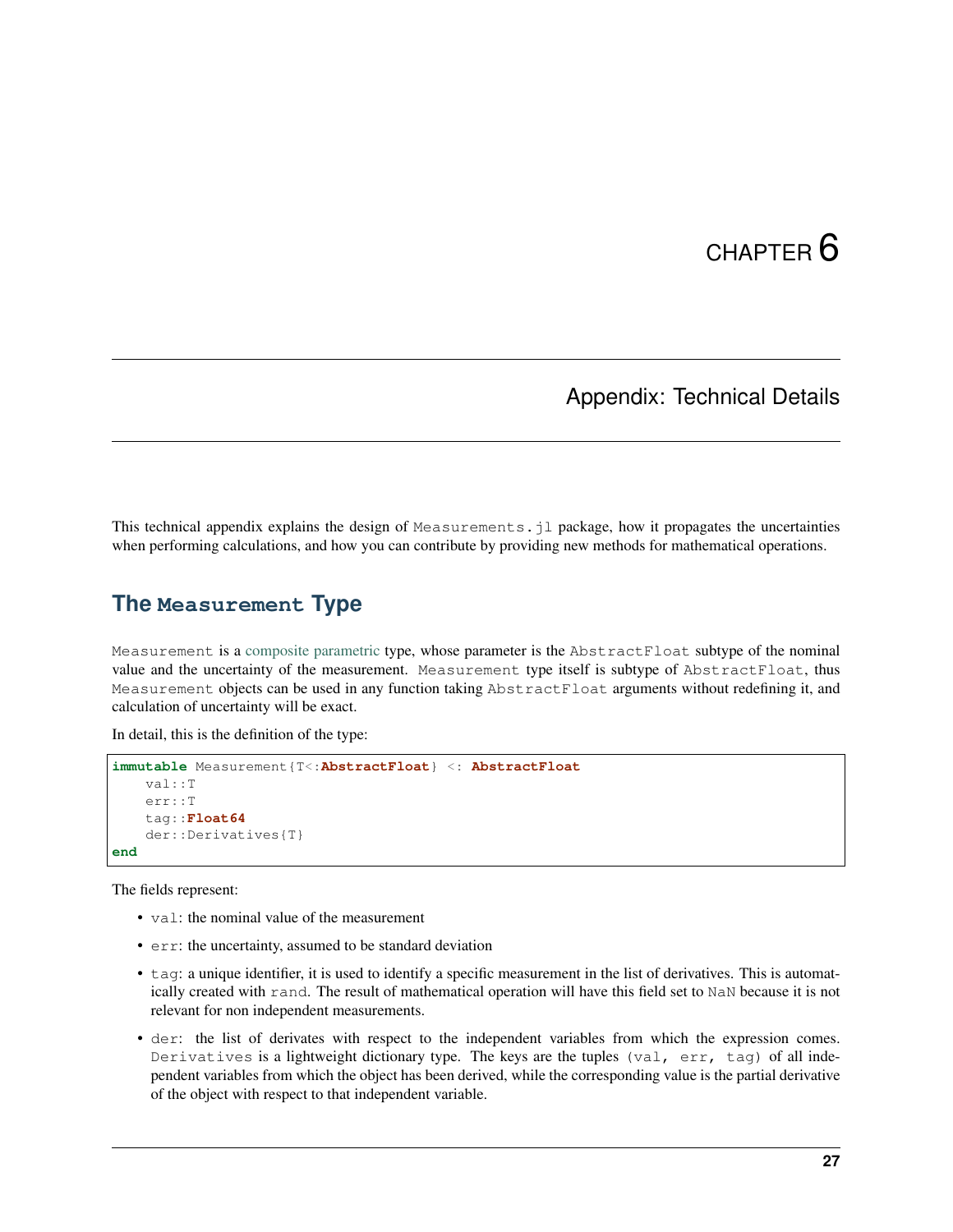## Appendix: Technical Details

<span id="page-30-0"></span>This technical appendix explains the design of Measurements. jl package, how it propagates the uncertainties when performing calculations, and how you can contribute by providing new methods for mathematical operations.

#### <span id="page-30-1"></span>**The Measurement Type**

Measurement is a [composite](http://docs.julialang.org/en/stable/manual/types/#composite-types) [parametric](http://docs.julialang.org/en/stable/manual/types/#man-parametric-types) type, whose parameter is the AbstractFloat subtype of the nominal value and the uncertainty of the measurement. Measurement type itself is subtype of AbstractFloat, thus Measurement objects can be used in any function taking AbstractFloat arguments without redefining it, and calculation of uncertainty will be exact.

In detail, this is the definition of the type:

```
immutable Measurement{T<:AbstractFloat} <: AbstractFloat
   val::T
    err::T
    tag::Float64
    der::Derivatives{T}
end
```
The fields represent:

- val: the nominal value of the measurement
- err: the uncertainty, assumed to be standard deviation
- tag: a unique identifier, it is used to identify a specific measurement in the list of derivatives. This is automatically created with rand. The result of mathematical operation will have this field set to NaN because it is not relevant for non independent measurements.
- der: the list of derivates with respect to the independent variables from which the expression comes. Derivatives is a lightweight dictionary type. The keys are the tuples (val, err, tag) of all independent variables from which the object has been derived, while the corresponding value is the partial derivative of the object with respect to that independent variable.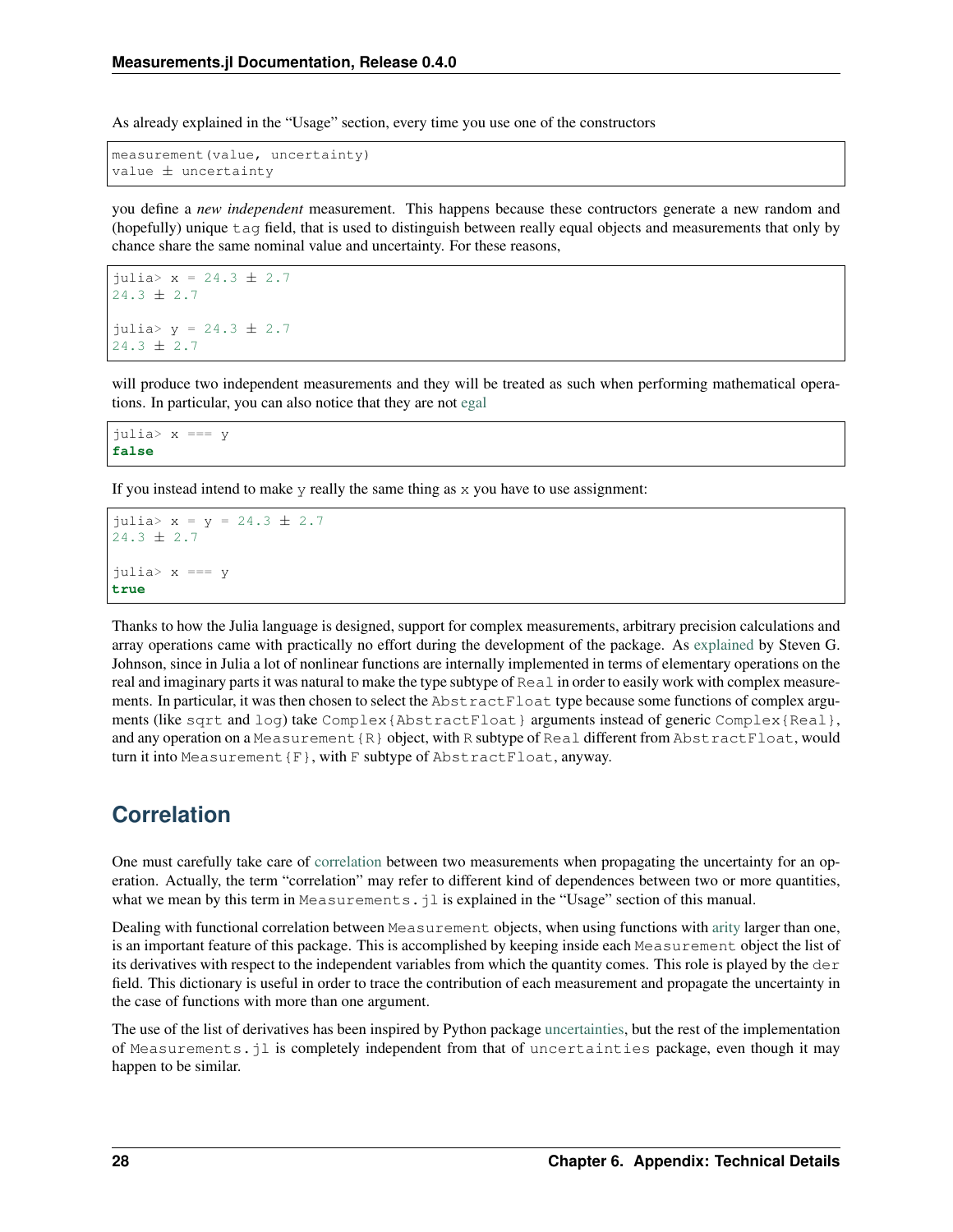As already explained in the "Usage" section, every time you use one of the constructors

measurement(value, uncertainty) value ± uncertainty

you define a *new independent* measurement. This happens because these contructors generate a new random and (hopefully) unique tag field, that is used to distinguish between really equal objects and measurements that only by chance share the same nominal value and uncertainty. For these reasons,

```
julia> x = 24.3 ± 2.7
24.3 \pm 2.7julia> y = 24.3 ± 2.7
24.3 + 2.7
```
will produce two independent measurements and they will be treated as such when performing mathematical operations. In particular, you can also notice that they are not [egal](http://docs.julialang.org/en/stable/stdlib/base/#Base.is)

julia> x === y **false**

If you instead intend to make  $\gamma$  really the same thing as  $\chi$  you have to use assignment:

```
julia> x = y = 24.3 \pm 2.724.3 ± 2.7
julia> x === y
true
```
Thanks to how the Julia language is designed, support for complex measurements, arbitrary precision calculations and array operations came with practically no effort during the development of the package. As [explained](https://github.com/giordano/Measurements.jl/issues/1#issuecomment-220727553) by Steven G. Johnson, since in Julia a lot of nonlinear functions are internally implemented in terms of elementary operations on the real and imaginary parts it was natural to make the type subtype of Real in order to easily work with complex measurements. In particular, it was then chosen to select the AbstractFloat type because some functions of complex arguments (like sqrt and log) take Complex{AbstractFloat} arguments instead of generic Complex{Real}, and any operation on a Measurement  $\{R\}$  object, with R subtype of Real different from AbstractFloat, would turn it into Measurement{F}, with F subtype of AbstractFloat, anyway.

## <span id="page-31-0"></span>**Correlation**

One must carefully take care of [correlation](https://en.wikipedia.org/wiki/Correlation_and_dependence) between two measurements when propagating the uncertainty for an operation. Actually, the term "correlation" may refer to different kind of dependences between two or more quantities, what we mean by this term in Measurements.  $jl$  is explained in the "Usage" section of this manual.

Dealing with functional correlation between Measurement objects, when using functions with [arity](https://en.wikipedia.org/wiki/Arity) larger than one, is an important feature of this package. This is accomplished by keeping inside each Measurement object the list of its derivatives with respect to the independent variables from which the quantity comes. This role is played by the der field. This dictionary is useful in order to trace the contribution of each measurement and propagate the uncertainty in the case of functions with more than one argument.

The use of the list of derivatives has been inspired by Python package [uncertainties,](https://pythonhosted.org/uncertainties/) but the rest of the implementation of Measurements.jl is completely independent from that of uncertainties package, even though it may happen to be similar.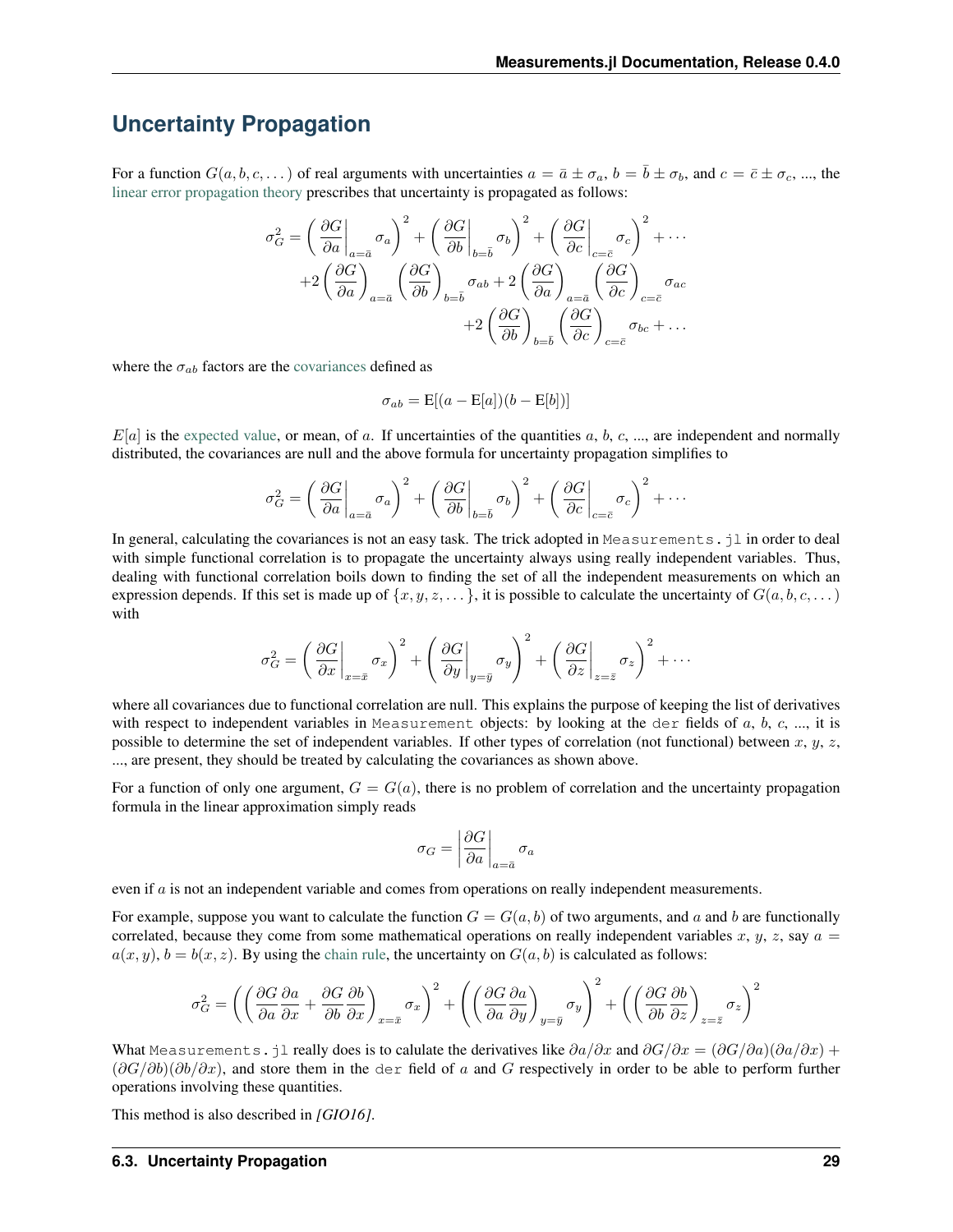## <span id="page-32-0"></span>**Uncertainty Propagation**

For a function  $G(a, b, c, \dots)$  of real arguments with uncertainties  $a = \overline{a} \pm \sigma_a$ ,  $b = \overline{b} \pm \sigma_b$ , and  $c = \overline{c} \pm \sigma_c$ , ..., the [linear error propagation theory](https://en.wikipedia.org/wiki/Propagation_of_uncertainty) prescribes that uncertainty is propagated as follows:

$$
\sigma_G^2 = \left(\frac{\partial G}{\partial a}\Big|_{a=\bar{a}}\sigma_a\right)^2 + \left(\frac{\partial G}{\partial b}\Big|_{b=\bar{b}}\sigma_b\right)^2 + \left(\frac{\partial G}{\partial c}\Big|_{c=\bar{c}}\sigma_c\right)^2 + \cdots
$$

$$
+ 2\left(\frac{\partial G}{\partial a}\right)_{a=\bar{a}}\left(\frac{\partial G}{\partial b}\right)_{b=\bar{b}}\sigma_{ab} + 2\left(\frac{\partial G}{\partial a}\right)_{a=\bar{a}}\left(\frac{\partial G}{\partial c}\right)_{c=\bar{c}}\sigma_{ac}
$$

$$
+ 2\left(\frac{\partial G}{\partial b}\right)_{b=\bar{b}}\left(\frac{\partial G}{\partial c}\right)_{c=\bar{c}}\sigma_{bc} + \dots
$$

where the  $\sigma_{ab}$  factors are the [covariances](https://en.wikipedia.org/wiki/Covariance) defined as

$$
\sigma_{ab} = \mathbf{E}[(a - \mathbf{E}[a])(b - \mathbf{E}[b])]
$$

 $E[a]$  is the [expected value,](https://en.wikipedia.org/wiki/Expected_value) or mean, of a. If uncertainties of the quantities a, b, c, ..., are independent and normally distributed, the covariances are null and the above formula for uncertainty propagation simplifies to

$$
\sigma_G^2 = \left(\left.\frac{\partial G}{\partial a}\right|_{a=\bar{a}}\sigma_a\right)^2 + \left(\left.\frac{\partial G}{\partial b}\right|_{b=\bar{b}}\sigma_b\right)^2 + \left(\left.\frac{\partial G}{\partial c}\right|_{c=\bar{c}}\sigma_c\right)^2 + \cdots
$$

In general, calculating the covariances is not an easy task. The trick adopted in Measurements. jl in order to deal with simple functional correlation is to propagate the uncertainty always using really independent variables. Thus, dealing with functional correlation boils down to finding the set of all the independent measurements on which an expression depends. If this set is made up of  $\{x, y, z, \dots\}$ , it is possible to calculate the uncertainty of  $G(a, b, c, \dots)$ with

$$
\sigma_G^2 = \left(\left.\frac{\partial G}{\partial x}\right|_{x=\bar{x}}\sigma_x\right)^2 + \left(\left.\frac{\partial G}{\partial y}\right|_{y=\bar{y}}\sigma_y\right)^2 + \left(\left.\frac{\partial G}{\partial z}\right|_{z=\bar{z}}\sigma_z\right)^2 + \cdots
$$

where all covariances due to functional correlation are null. This explains the purpose of keeping the list of derivatives with respect to independent variables in Measurement objects: by looking at the der fields of  $a, b, c, ...$ , it is possible to determine the set of independent variables. If other types of correlation (not functional) between  $x, y, z$ , ..., are present, they should be treated by calculating the covariances as shown above.

For a function of only one argument,  $G = G(a)$ , there is no problem of correlation and the uncertainty propagation formula in the linear approximation simply reads

$$
\sigma_G = \left| \frac{\partial G}{\partial a} \right|_{a = \bar{a}} \sigma_a
$$

even if  $a$  is not an independent variable and comes from operations on really independent measurements.

For example, suppose you want to calculate the function  $G = G(a, b)$  of two arguments, and a and b are functionally correlated, because they come from some mathematical operations on really independent variables x,  $y$ , z, say  $a =$  $a(x, y)$ ,  $b = b(x, z)$ . By using the [chain rule,](https://en.wikipedia.org/wiki/Chain_rule) the uncertainty on  $G(a, b)$  is calculated as follows:

$$
\sigma_G^2 = \left( \left( \frac{\partial G}{\partial a} \frac{\partial a}{\partial x} + \frac{\partial G}{\partial b} \frac{\partial b}{\partial x} \right)_{x = \bar{x}} \sigma_x \right)^2 + \left( \left( \frac{\partial G}{\partial a} \frac{\partial a}{\partial y} \right)_{y = \bar{y}} \sigma_y \right)^2 + \left( \left( \frac{\partial G}{\partial b} \frac{\partial b}{\partial z} \right)_{z = \bar{z}} \sigma_z \right)^2
$$

What Measurements.jl really does is to calulate the derivatives like  $\partial a/\partial x$  and  $\partial G/\partial x = (\partial G/\partial a)(\partial a/\partial x) +$  $(\partial G/\partial b)(\partial b/\partial x)$ , and store them in the der field of a and G respectively in order to be able to perform further operations involving these quantities.

This method is also described in *[GIO16]*.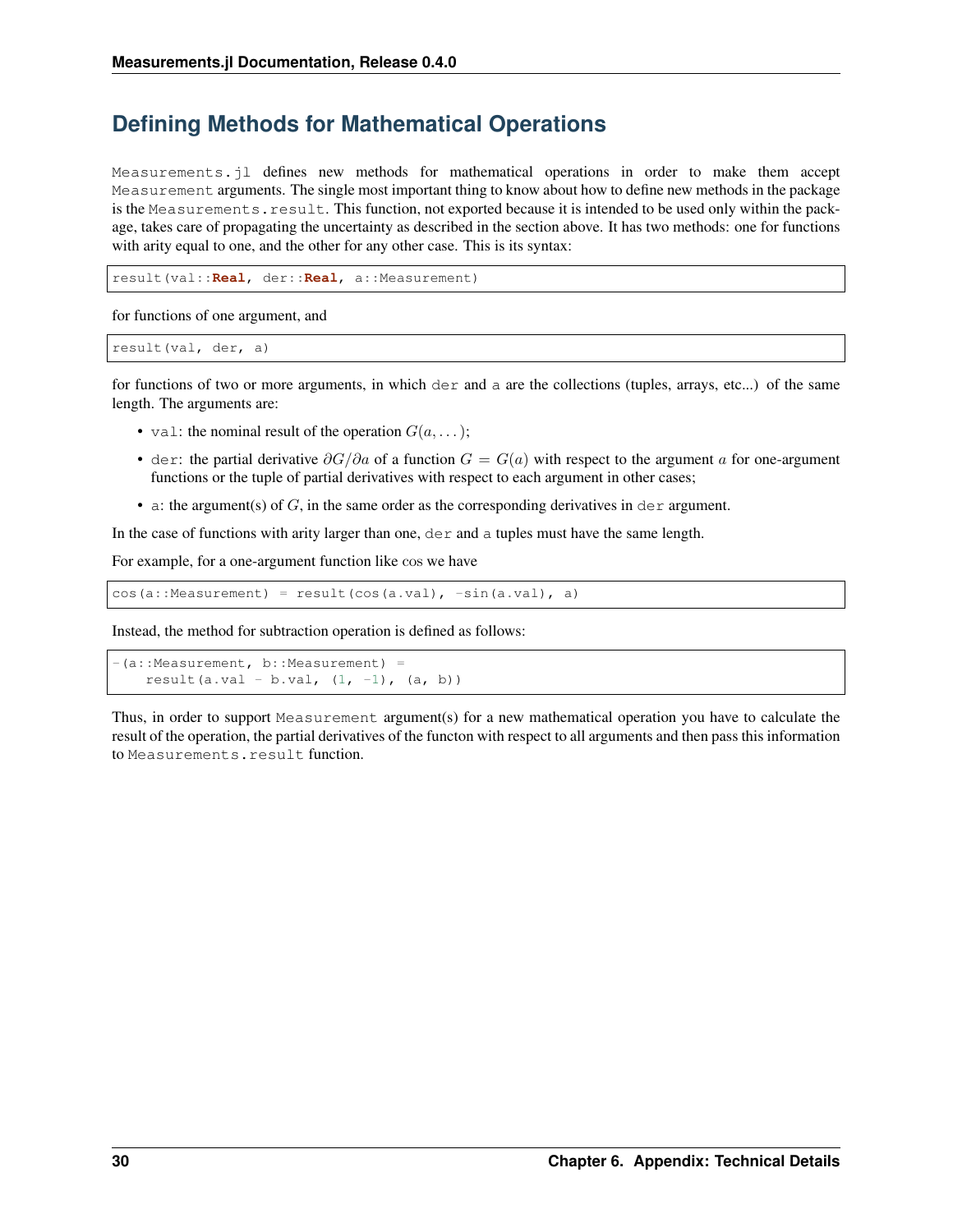## <span id="page-33-0"></span>**Defining Methods for Mathematical Operations**

Measurements.jl defines new methods for mathematical operations in order to make them accept Measurement arguments. The single most important thing to know about how to define new methods in the package is the Measurements.result. This function, not exported because it is intended to be used only within the package, takes care of propagating the uncertainty as described in the section above. It has two methods: one for functions with arity equal to one, and the other for any other case. This is its syntax:

result(val::**Real**, der::**Real**, a::Measurement)

for functions of one argument, and

```
result(val, der, a)
```
for functions of two or more arguments, in which der and a are the collections (tuples, arrays, etc...) of the same length. The arguments are:

- val: the nominal result of the operation  $G(a, \ldots);$
- der: the partial derivative  $\partial G/\partial a$  of a function  $G = G(a)$  with respect to the argument a for one-argument functions or the tuple of partial derivatives with respect to each argument in other cases;
- a: the argument(s) of  $G$ , in the same order as the corresponding derivatives in dex argument.

In the case of functions with arity larger than one,  $\text{der}$  and a tuples must have the same length.

For example, for a one-argument function like cos we have

 $cos(a::Measurement) = result(cos(a.val), -sin(a.val), a)$ 

Instead, the method for subtraction operation is defined as follows:

```
-(a::Measurement, b::Measurement) =
   result(a.val - b.val, (1, -1), (a, b))
```
Thus, in order to support Measurement argument(s) for a new mathematical operation you have to calculate the result of the operation, the partial derivatives of the functon with respect to all arguments and then pass this information to Measurements.result function.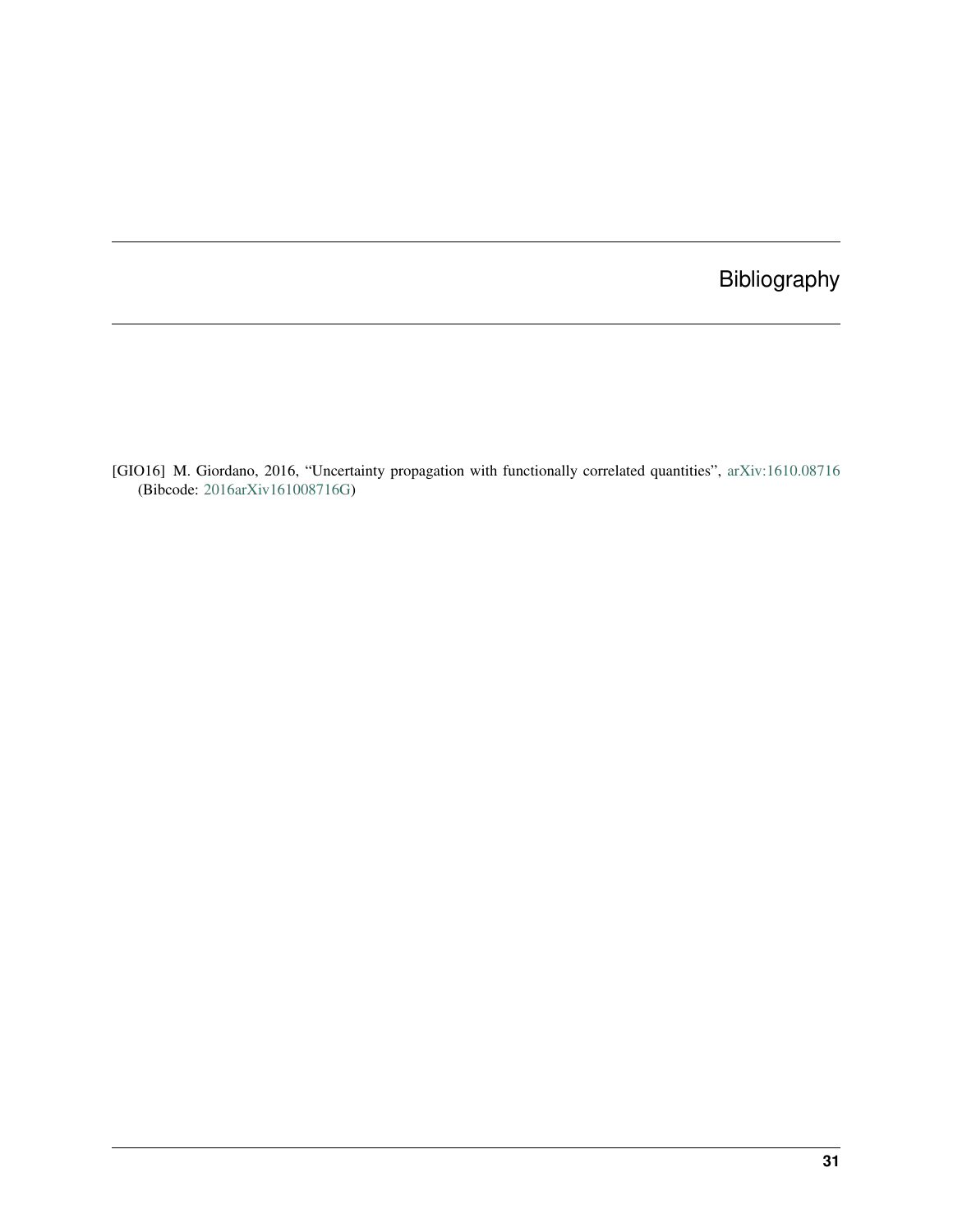## Bibliography

<span id="page-34-0"></span>[GIO16] M. Giordano, 2016, "Uncertainty propagation with functionally correlated quantities", [arXiv:1610.08716](http://arxiv.org/abs/1610.08716) (Bibcode: [2016arXiv161008716G\)](http://adsabs.harvard.edu/abs/2016arXiv161008716G)